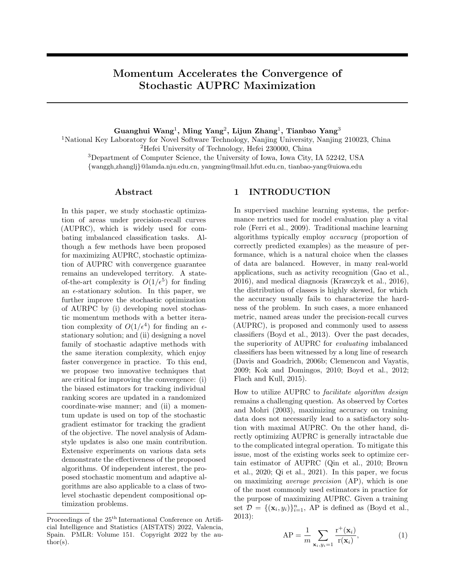# Momentum Accelerates the Convergence of Stochastic AUPRC Maximization

## Guanghui Wang<sup>1</sup>, Ming Yang<sup>2</sup>, Lijun Zhang<sup>1</sup>, Tianbao Yang<sup>3</sup>

National Key Laboratory for Novel Software Technology, Nanjing University, Nanjing 210023, China Hefei University of Technology, Hefei 230000, China Department of Computer Science, the University of Iowa, Iowa City, IA 52242, USA {wanggh,zhanglj}@lamda.nju.edu.cn, yangming@mail.hfut.edu.cn, tianbao-yang@uiowa.edu

### Abstract

In this paper, we study stochastic optimization of areas under precision-recall curves (AUPRC), which is widely used for combating imbalanced classification tasks. Although a few methods have been proposed for maximizing AUPRC, stochastic optimization of AUPRC with convergence guarantee remains an undeveloped territory. A stateof-the-art complexity is  $O(1/\epsilon^5)$  for finding an  $\epsilon$ -stationary solution. In this paper, we further improve the stochastic optimization of AURPC by (i) developing novel stochastic momentum methods with a better iteration complexity of  $O(1/\epsilon^4)$  for finding an  $\epsilon$ stationary solution; and (ii) designing a novel family of stochastic adaptive methods with the same iteration complexity, which enjoy faster convergence in practice. To this end, we propose two innovative techniques that are critical for improving the convergence: (i) the biased estimators for tracking individual ranking scores are updated in a randomized coordinate-wise manner; and (ii) a momentum update is used on top of the stochastic gradient estimator for tracking the gradient of the objective. The novel analysis of Adamstyle updates is also one main contribution. Extensive experiments on various data sets demonstrate the effectiveness of the proposed algorithms. Of independent interest, the proposed stochastic momentum and adaptive algorithms are also applicable to a class of twolevel stochastic dependent compositional optimization problems.

## 1 INTRODUCTION

In supervised machine learning systems, the performance metrics used for model evaluation play a vital role (Ferri et al., 2009). Traditional machine learning algorithms typically employ *accuracy* (proportion of correctly predicted examples) as the measure of performance, which is a natural choice when the classes of data are balanced. However, in many real-world applications, such as activity recognition (Gao et al., 2016), and medical diagnosis (Krawczyk et al., 2016), the distribution of classes is highly skewed, for which the accuracy usually fails to characterize the hardness of the problem. In such cases, a more enhanced metric, named areas under the precision-recall curves (AUPRC), is proposed and commonly used to assess classifiers (Boyd et al., 2013). Over the past decades, the superiority of AUPRC for *evaluating* imbalanced classifiers has been witnessed by a long line of research (Davis and Goadrich, 2006b; Clemencon and Vayatis, 2009; Kok and Domingos, 2010; Boyd et al., 2012; Flach and Kull, 2015).

How to utilize AUPRC to *facilitate algorithm design* remains a challenging question. As observed by Cortes and Mohri (2003), maximizing accuracy on training data does not necessarily lead to a satisfactory solution with maximal AUPRC. On the other hand, directly optimizing AUPRC is generally intractable due to the complicated integral operation. To mitigate this issue, most of the existing works seek to optimize certain estimator of AUPRC (Qin et al., 2010; Brown et al., 2020; Qi et al., 2021). In this paper, we focus on maximizing *average precision* (AP), which is one of the most commonly used estimators in practice for the purpose of maximizing AUPRC. Given a training set  $\mathcal{D} = \{(\mathbf{x}_i, y_i)\}_{i=1}^n$ , AP is defined as (Boyd et al., 2013):

$$
AP = \frac{1}{m} \sum_{\mathbf{x}_i, y_i = 1} \frac{r^+(\mathbf{x}_i)}{r(\mathbf{x}_i)},
$$
(1)

Proceedings of the  $25^{\text{th}}$  International Conference on Artificial Intelligence and Statistics (AISTATS) 2022, Valencia, Spain. PMLR: Volume 151. Copyright 2022 by the author(s).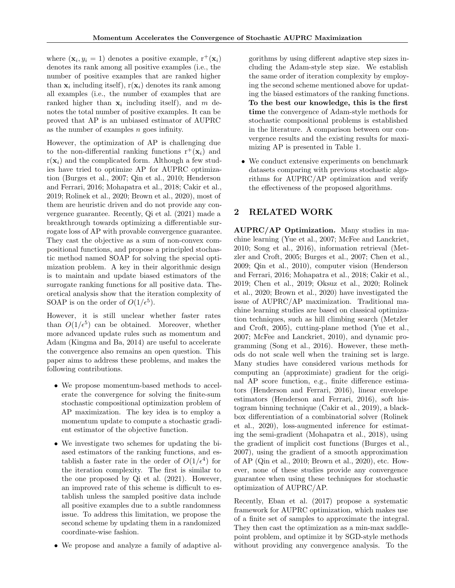where  $(\mathbf{x}_i, y_i = 1)$  denotes a positive example,  $\mathbf{r}^+(\mathbf{x}_i)$ denotes its rank among all positive examples (i.e., the number of positive examples that are ranked higher than  $\mathbf{x}_i$  including itself),  $r(\mathbf{x}_i)$  denotes its rank among all examples (i.e., the number of examples that are ranked higher than  $x_i$  including itself), and m denotes the total number of positive examples. It can be proved that AP is an unbiased estimator of AUPRC as the number of examples  $n$  goes infinity.

However, the optimization of AP is challenging due to the non-differential ranking functions  $r^+(\mathbf{x}_i)$  and  $r(\mathbf{x}_i)$  and the complicated form. Although a few studies have tried to optimize AP for AUPRC optimization (Burges et al., 2007; Qin et al., 2010; Henderson and Ferrari, 2016; Mohapatra et al., 2018; Cakir et al., 2019; Rolinek et al., 2020; Brown et al., 2020), most of them are heuristic driven and do not provide any convergence guarantee. Recently, Qi et al. (2021) made a breakthrough towards optimizing a differentiable surrogate loss of AP with provable convergence guarantee. They cast the objective as a sum of non-convex compositional functions, and propose a principled stochastic method named SOAP for solving the special optimization problem. A key in their algorithmic design is to maintain and update biased estimators of the surrogate ranking functions for all positive data. Theoretical analysis show that the iteration complexity of SOAP is on the order of  $O(1/\epsilon^5)$ .

However, it is still unclear whether faster rates than  $O(1/\epsilon^5)$  can be obtained. Moreover, whether more advanced update rules such as momentum and Adam (Kingma and Ba, 2014) are useful to accelerate the convergence also remains an open question. This paper aims to address these problems, and makes the following contributions.

- We propose momentum-based methods to accelerate the convergence for solving the finite-sum stochastic compositional optimization problem of AP maximization. The key idea is to employ a momentum update to compute a stochastic gradient estimator of the objective function.
- We investigate two schemes for updating the biased estimators of the ranking functions, and establish a faster rate in the order of  $O(1/\epsilon^4)$  for the iteration complexity. The first is similar to the one proposed by Qi et al. (2021). However, an improved rate of this scheme is difficult to establish unless the sampled positive data include all positive examples due to a subtle randomness issue. To address this limitation, we propose the second scheme by updating them in a randomized coordinate-wise fashion.
- We propose and analyze a family of adaptive al-

gorithms by using different adaptive step sizes including the Adam-style step size. We establish the same order of iteration complexity by employing the second scheme mentioned above for updating the biased estimators of the ranking functions. To the best our knowledge, this is the first time the convergence of Adam-style methods for stochastic compositional problems is established in the literature. A comparison between our convergence results and the existing results for maximizing AP is presented in Table 1.

• We conduct extensive experiments on benchmark datasets comparing with previous stochastic algorithms for AUPRC/AP optimization and verify the effectiveness of the proposed algorithms.

# 2 RELATED WORK

AUPRC/AP Optimization. Many studies in machine learning (Yue et al., 2007; McFee and Lanckriet, 2010; Song et al., 2016), information retrieval (Metzler and Croft, 2005; Burges et al., 2007; Chen et al., 2009; Qin et al., 2010), computer vision (Henderson and Ferrari, 2016; Mohapatra et al., 2018; Cakir et al., 2019; Chen et al., 2019; Oksuz et al., 2020; Rolinek et al., 2020; Brown et al., 2020) have investigated the issue of AUPRC/AP maximization. Traditional machine learning studies are based on classical optimization techniques, such as hill climbing search (Metzler and Croft, 2005), cutting-plane method (Yue et al., 2007; McFee and Lanckriet, 2010), and dynamic programming (Song et al., 2016). However, these methods do not scale well when the training set is large. Many studies have considered various methods for computing an (approximiate) gradient for the original AP score function, e.g., finite difference estimators (Henderson and Ferrari, 2016), linear envelope estimators (Henderson and Ferrari, 2016), soft histogram binning technique (Cakir et al., 2019), a blackbox differentiation of a combinatorial solver (Rolinek et al., 2020), loss-augmented inference for estimating the semi-gradient (Mohapatra et al., 2018), using the gradient of implicit cost functions (Burges et al., 2007), using the gradient of a smooth approximation of AP (Qin et al., 2010; Brown et al., 2020), etc. However, none of these studies provide any convergence guarantee when using these techniques for stochastic optimization of AUPRC/AP.

Recently, Eban et al. (2017) propose a systematic framework for AUPRC optimization, which makes use of a finite set of samples to approximate the integral. They then cast the optimization as a min-max saddlepoint problem, and optimize it by SGD-style methods without providing any convergence analysis. To the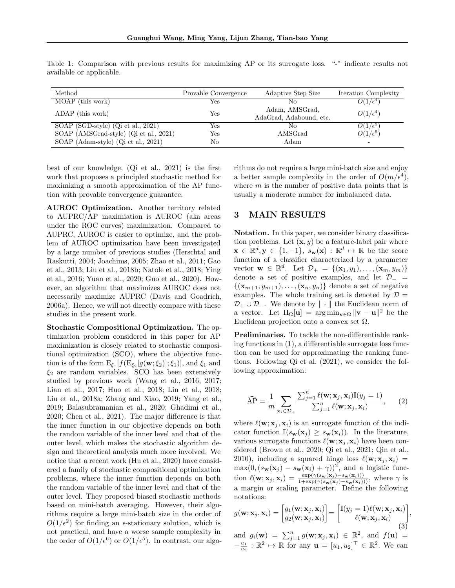| Method                                 | Provable Convergence | Adaptive Step Size                        | <b>Iteration Complexity</b> |
|----------------------------------------|----------------------|-------------------------------------------|-----------------------------|
| MOAP (this work)                       | Yes                  | No                                        | $O(1/\epsilon^4)$           |
| ADAP (this work)                       | Yes                  | Adam, AMSGrad,<br>AdaGrad, Adabound, etc. | $O(1/\epsilon^4)$           |
| SOAP (SGD-style) (Qi et al., 2021)     | Yes                  | No                                        | $O(1/\epsilon^5)$           |
| SOAP (AMSGrad-style) (Qi et al., 2021) | Yes                  | AMSGrad                                   | $O(1/\epsilon^5)$           |
| SOAP (Adam-style) (Qi et al., 2021)    | No                   | Adam                                      | -                           |

Table 1: Comparison with previous results for maximizing AP or its surrogate loss. "-" indicate results not available or applicable.

best of our knowledge, (Qi et al., 2021) is the first work that proposes a principled stochastic method for maximizing a smooth approximation of the AP function with provable convergence guarantee.

AUROC Optimization. Another territory related to AUPRC/AP maximiation is AUROC (aka areas under the ROC curves) maximization. Compared to AUPRC, AUROC is easier to optimize, and the problem of AUROC optimization have been investigated by a large number of previous studies (Herschtal and Raskutti, 2004; Joachims, 2005; Zhao et al., 2011; Gao et al., 2013; Liu et al., 2018b; Natole et al., 2018; Ying et al., 2016; Yuan et al., 2020; Guo et al., 2020). However, an algorithm that maximizes AUROC does not necessarily maximize AUPRC (Davis and Goadrich, 2006a). Hence, we will not directly compare with these studies in the present work.

Stochastic Compositional Optimization. The optimization problem considered in this paper for AP maximization is closely related to stochastic compositional optimization (SCO), where the objective function is of the form  $E_{\xi_1}[f(E_{\xi_2}[g(\mathbf{w}; \xi_2)]; \xi_1)],$  and  $\xi_1$  and  $\xi_2$  are random variables. SCO has been extensively studied by previous work (Wang et al., 2016, 2017; Lian et al., 2017; Huo et al., 2018; Lin et al., 2018; Liu et al., 2018a; Zhang and Xiao, 2019; Yang et al., 2019; Balasubramanian et al., 2020; Ghadimi et al., 2020; Chen et al., 2021). The major difference is that the inner function in our objective depends on both the random variable of the inner level and that of the outer level, which makes the stochastic algorithm design and theoretical analysis much more involved. We notice that a recent work (Hu et al., 2020) have considered a family of stochastic compositional optimization problems, where the inner function depends on both the random variable of the inner level and that of the outer level. They proposed biased stochastic methods based on mini-batch averaging. However, their algorithms require a large mini-batch size in the order of  $O(1/\epsilon^2)$  for finding an  $\epsilon$ -stationary solution, which is not practical, and have a worse sample complexity in the order of  $O(1/\epsilon^6)$  or  $O(1/\epsilon^5)$ . In contrast, our algorithms do not require a large mini-batch size and enjoy a better sample complexity in the order of  $O(m/\epsilon^4)$ , where  $m$  is the number of positive data points that is usually a moderate number for imbalanced data.

## 3 MAIN RESULTS

Notation. In this paper, we consider binary classification problems. Let  $(\mathbf{x}, y)$  be a feature-label pair where  $\mathbf{x} \in \mathbb{R}^d, \mathbf{y} \in \{1, -1\}, s_{\mathbf{w}}(\mathbf{x}) : \mathbb{R}^d \mapsto \mathbb{R}$  be the score function of a classifier characterized by a parameter vector  $\mathbf{w} \in \mathbb{R}^d$ . Let  $\mathcal{D}_+ = \{(\mathbf{x}_1, y_1), \ldots, (\mathbf{x}_m, y_m)\}$ denote a set of positive examples, and let  $\mathcal{D}_-$  =  $\{(\mathbf{x}_{m+1}, y_{m+1}), \ldots, (\mathbf{x}_n, y_n)\}\)$  denote a set of negative examples. The whole training set is denoted by  $\mathcal{D} =$  $\mathcal{D}_+ \cup \mathcal{D}_-$ . We denote by  $\|\cdot\|$  the Euclidean norm of a vector. Let  $\Pi_{\Omega}[\mathbf{u}] = \arg \min_{\mathbf{v} \in \Omega} ||\mathbf{v} - \mathbf{u}||^2$  be the Euclidean projection onto a convex set  $\Omega$ .

Preliminaries. To tackle the non-differentiable ranking functions in (1), a differentiable surrogate loss function can be used for approximating the ranking functions. Following Qi et al. (2021), we consider the following approximation:

$$
\widehat{AP} = \frac{1}{m} \sum_{\mathbf{x}_i \in \mathcal{D}_+} \frac{\sum_{j=1}^n \ell(\mathbf{w}; \mathbf{x}_j, \mathbf{x}_i) \mathbb{I}(y_j = 1)}{\sum_{j=1}^n \ell(\mathbf{w}; \mathbf{x}_j, \mathbf{x}_i)},
$$
 (2)

where  $\ell(\mathbf{w}; \mathbf{x}_i, \mathbf{x}_i)$  is an surrogate function of the indicator function  $\mathbb{I}(s_{\mathbf{w}}(\mathbf{x}_i) \geq s_{\mathbf{w}}(\mathbf{x}_i))$ . In the literature, various surrogate functions  $\ell(\mathbf{w}; \mathbf{x}_i, \mathbf{x}_i)$  have been considered (Brown et al., 2020; Qi et al., 2021; Qin et al., 2010), including a squared hinge loss  $\ell(\mathbf{w}; \mathbf{x}_i, \mathbf{x}_i)$  =  $\max(0, (s_{\mathbf{w}}(\mathbf{x}_j) - s_{\mathbf{w}}(\mathbf{x}_i) + \gamma))^2$ , and a logistic function  $\ell(\mathbf{w}; \mathbf{x}_j, \mathbf{x}_i) = \frac{\exp(\gamma(s_{\mathbf{w}}(\mathbf{x}_j) - s_{\mathbf{w}}(\mathbf{x}_i)))}{1 + \exp(\gamma(s_{\mathbf{w}}(\mathbf{x}_j) - s_{\mathbf{w}}(\mathbf{x}_i)))}, \text{ where } \gamma \text{ is}$ a margin or scaling parameter. Define the following notations:

$$
g(\mathbf{w}; \mathbf{x}_j, \mathbf{x}_i) = \begin{bmatrix} g_1(\mathbf{w}; \mathbf{x}_j, \mathbf{x}_i) \\ g_2(\mathbf{w}; \mathbf{x}_j, \mathbf{x}_i) \end{bmatrix} = \begin{bmatrix} \mathbb{I}(y_j = 1) \ell(\mathbf{w}; \mathbf{x}_j, \mathbf{x}_i) \\ \ell(\mathbf{w}; \mathbf{x}_j, \mathbf{x}_i) \end{bmatrix},
$$
(3)

and  $g_i(\mathbf{w}) = \sum_{j=1}^n g(\mathbf{w}; \mathbf{x}_j, \mathbf{x}_i) \in \mathbb{R}^2$ , and  $f(\mathbf{u}) =$  $-\frac{u_1}{u_2}$ :  $\mathbb{R}^2 \mapsto \mathbb{R}$  for any  $\mathbf{u} = [u_1, u_2]^\top \in \mathbb{R}^2$ . We can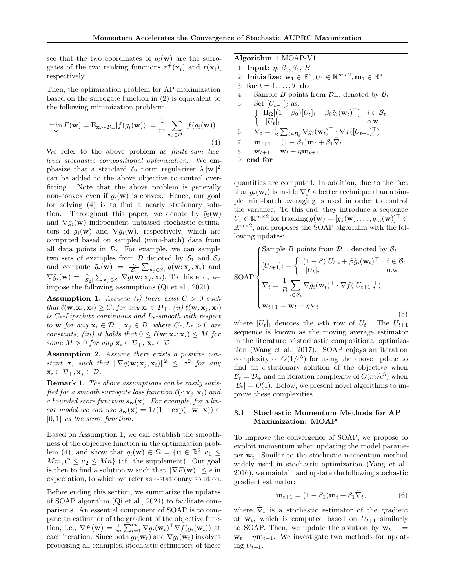see that the two coordinates of  $g_i(\mathbf{w})$  are the surrogates of the two ranking functions  $r^+(\mathbf{x}_i)$  and  $r(\mathbf{x}_i)$ , respectively.

Then, the optimization problem for AP maximization based on the surrogate function in (2) is equivalent to the following minimization problem:

$$
\min_{\mathbf{w}} F(\mathbf{w}) = \mathbf{E}_{\mathbf{x}_i \sim \mathcal{D}_+} [f(g_i(\mathbf{w}))] = \frac{1}{m} \sum_{\mathbf{x}_i \in \mathcal{D}_+} f(g_i(\mathbf{w})).
$$
\n(4)

We refer to the above problem as *finite-sum twolevel stochastic compositional optimization*. We emphasize that a standard  $\ell_2$  norm regularizer  $\lambda ||\mathbf{w}||^2$ can be added to the above objective to control overfitting. Note that the above problem is generally non-convex even if  $g_i(\mathbf{w})$  is convex. Hence, our goal for solving (4) is to find a nearly stationary solution. Throughout this paper, we denote by  $\tilde{q}_i(\mathbf{w})$ and  $\nabla \tilde{g}_i(\mathbf{w})$  independent unbiased stochastic estimators of  $g_i(\mathbf{w})$  and  $\nabla g_i(\mathbf{w})$ , respectively, which are computed based on sampled (mini-batch) data from all data points in  $D$ . For example, we can sample two sets of examples from  $\mathcal D$  denoted by  $\mathcal S_1$  and  $\mathcal S_2$ and compute  $\tilde{g}_i(\mathbf{w}) = \frac{n}{|\mathcal{S}_1|} \sum_{\mathbf{x}_j \in \mathcal{S}_1} g(\mathbf{w}; \mathbf{x}_j, \mathbf{x}_i)$  and  $\nabla \tilde{g}_i(\mathbf{w}) = \frac{n}{|\mathcal{S}_2|} \sum_{\mathbf{x}_j \in \mathcal{S}_1} \nabla g(\mathbf{w}; \mathbf{x}_j, \mathbf{x}_i)$ . To this end, we impose the following assumptions (Qi et al., 2021).

Assumption 1. *Assume (i) there exist* C > 0 *such that*  $\ell(\mathbf{w}; \mathbf{x}_i; \mathbf{x}_i) \geq C$ *, for any*  $\mathbf{x}_i \in \mathcal{D}_+$ *; (ii)*  $\ell(\mathbf{w}; \mathbf{x}_j; \mathbf{x}_i)$ *is* Cℓ*-Lipschitz continuous and* Lℓ*-smooth with respect to* **w** *for* any  $\mathbf{x}_i \in \mathcal{D}_+$ ,  $\mathbf{x}_j \in \mathcal{D}$ , where  $C_\ell, L_\ell > 0$  are *constants; (iii) it holds that*  $0 \leq \ell(\mathbf{w}; \mathbf{x}_i; \mathbf{x}_i) \leq M$  *for some*  $M > 0$  *for any*  $\mathbf{x}_i \in \mathcal{D}_+$ ,  $\mathbf{x}_j \in \mathcal{D}$ .

Assumption 2. *Assume there exists a positive constant*  $\sigma$ *, such that*  $\|\nabla g(\mathbf{w}; \mathbf{x}_j, \mathbf{x}_i)\|^2 \leq \sigma^2$  for any  $\mathbf{x}_i \in \mathcal{D}_+, \mathbf{x}_j \in \mathcal{D}.$ 

Remark 1. *The above assumptions can be easily satisfied for a smooth surrogate loss function*  $\ell(\cdot; \mathbf{x}_i, \mathbf{x}_i)$  *and a bounded score function*  $s_w(x)$ *. For example, for a linear model we can use*  $s_w(\mathbf{x}) = 1/(1 + \exp(-\mathbf{w}^\top \mathbf{x})) \in$ [0, 1] *as the score function.*

Based on Assumption 1, we can establish the smoothness of the objective function in the optimization problem (4), and show that  $g_i(\mathbf{w}) \in \Omega = {\mathbf{u} \in \mathbb{R}^2, u_1 \leq \mathbf{v}$  $Mm, C \le u_2 \le Mn$  (cf. the supplement). Our goal is then to find a solution w such that  $\|\nabla F(\mathbf{w})\| \leq \epsilon$  in expectation, to which we refer as  $\epsilon$ -stationary solution.

Before ending this section, we summarize the updates of SOAP algorithm (Qi et al., 2021) to facilitate comparisons. An essential component of SOAP is to compute an estimator of the gradient of the objective function, i.e.,  $\nabla F(\mathbf{w}) = \frac{1}{m} \sum_{i=1}^{m} \nabla g_i(\mathbf{w}_t)^\top \nabla f(g_i(\mathbf{w}_t))$  at each iteration. Since both  $g_i(\mathbf{w}_t)$  and  $\nabla g_i(\mathbf{w}_t)$  involves processing all examples, stochastic estimators of these

Algorithm 1 MOAP-V1

1: Input:  $\eta$ ,  $\beta_0$ ,  $\beta_1$ , B 2: Initialize:  $\mathbf{w}_1 \in \mathbb{R}^d, U_1 \in \mathbb{R}^{m \times 2}, \mathbf{m}_1 \in \mathbb{R}^d$ 

3: for  $t = 1, \ldots, T$  do

4: Sample B points from  $\mathcal{D}_+$ , denoted by  $\mathcal{B}_t$ 

| 5: | Set $[U_{t+1}]_i$ as:                                                                                                                                    |
|----|----------------------------------------------------------------------------------------------------------------------------------------------------------|
|    | $\begin{cases} \n\Pi_{\Omega}[(1-\beta_0)[U_t]_i + \beta_0 \tilde{g}_i(\mathbf{w}_t)^\top] & i \in \mathcal{B}_t \\ [U_t]_i & \text{o.w.} \n\end{cases}$ |
|    |                                                                                                                                                          |
| 6: | $\tilde{\nabla}_t = \frac{1}{B} \sum_{i \in \mathcal{B}_t} \nabla \tilde{g}_i(\mathbf{w}_t)^\top \cdot \nabla f([U_{t+1}]_i^\top)$                       |
| 7: | $\mathbf{m}_{t+1} = (1 - \beta_1)\mathbf{m}_t + \beta_1 \dot{\nabla}_t$                                                                                  |
| 8: | ${\bf w}_{t+1} = {\bf w}_t - \eta {\bf m}_{t+1}$                                                                                                         |
|    | 9: end for                                                                                                                                               |

quantities are computed. In addition, due to the fact that  $g_i(\mathbf{w}_t)$  is inside  $\nabla f$  a better technique than a simple mini-batch averaging is used in order to control the variance. To this end, they introduce a sequence  $U_t \in \mathbb{R}^{m \times 2}$  for tracking  $g(\mathbf{w}) = [g_1(\mathbf{w}), \dots, g_m(\mathbf{w})]^\top \in$  $\mathbb{R}^{m \times 2}$ , and proposes the SOAP algorithm with the following updates:

SOAP

\n
$$
\begin{cases}\n\text{Sample } B \text{ points from } \mathcal{D}_{+}, \text{ denoted by } \mathcal{B}_{t} \\
[U_{t+1}]_i = \begin{cases}\n(1-\beta)[U_t]_i + \beta \tilde{g}_i(\mathbf{w}_t)^{\top} & i \in \mathcal{B}_{t} \\
[U_t]_i & \text{o.w.} \n\end{cases} \\
\tilde{\nabla}_t = \frac{1}{B} \sum_{i \in \mathcal{B}_t} \nabla \tilde{g}_i(\mathbf{w}_t)^{\top} \cdot \nabla f([U_{t+1}]_i^{\top}) \\
\mathbf{w}_{t+1} = \mathbf{w}_t - \eta \tilde{\nabla}_t\n\end{cases}
$$
\n(5)

where  $[U_t]_i$  denotes the *i*-th row of  $U_t$ . The  $U_{t+1}$ sequence is known as the moving average estimator in the literature of stochastic compositional optimization (Wang et al., 2017). SOAP enjoys an iteration complexity of  $O(1/\epsilon^5)$  for using the above update to find an  $\epsilon$ -stationary solution of the objective when  $B_t = D_+$  and an iteration complexity of  $O(m/\epsilon^5)$  when  $|\mathcal{B}_t| = O(1)$ . Below, we present novel algorithms to improve these complexities.

### 3.1 Stochastic Momentum Methods for AP Maximization: MOAP

To improve the convergence of SOAP, we propose to exploit momentum when updating the model parameter  $\mathbf{w}_t$ . Similar to the stochastic momentum method widely used in stochastic optimization (Yang et al., 2016), we maintain and update the following stochastic gradient estimator:

$$
\mathbf{m}_{t+1} = (1 - \beta_1)\mathbf{m}_t + \beta_1 \tilde{\nabla}_t, \tag{6}
$$

where  $\tilde{\nabla}_t$  is a stochastic estimator of the gradient at  $\mathbf{w}_t$ , which is computed based on  $U_{t+1}$  similarly to SOAP. Then, we update the solution by  $\mathbf{w}_{t+1} =$  $\mathbf{w}_t - \eta \mathbf{m}_{t+1}$ . We investigate two methods for updating  $U_{t+1}$ .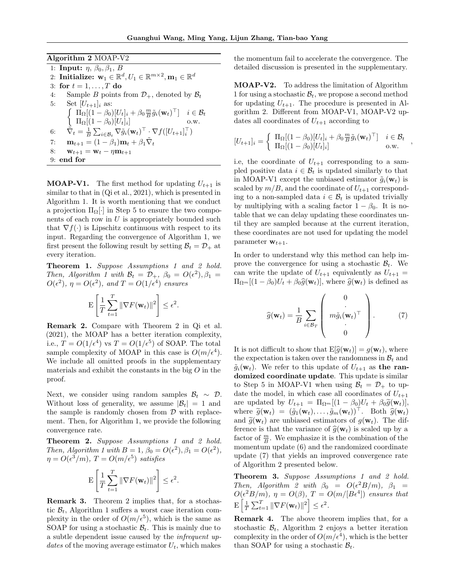Algorithm 2 MOAP-V2 1: Input:  $\eta$ ,  $\beta_0$ ,  $\beta_1$ , B 2: Initialize:  $\mathbf{w}_1 \in \mathbb{R}^d, U_1 \in \mathbb{R}^{m \times 2}, \mathbf{m}_1 \in \mathbb{R}^d$ 3: for  $t = 1, \ldots, T$  do 4: Sample B points from  $\mathcal{D}_+$ , denoted by  $\mathcal{B}_t$ <br>5: Set  $[U_{t+1}]_i$  as: Set  $[U_{t+1}]_i$  as:  $\left\{\begin{array}{cc} \Pi_{\Omega}[(1-\beta_0)[U_t]_i+\beta_0\frac{m}{B}\tilde{g}_i(\mathbf{w}_t)^{\top}]\ & i\in\mathcal{B}_t\end{array}\right.$ ΠΩ[(1 − β0)[Ut]<sup>i</sup> ] o.w. 6:  $\tilde{\nabla}_t = \frac{1}{B} \sum_{i \in \mathcal{B}_t} \nabla \tilde{g}_i(\mathbf{w}_t)^\top \cdot \nabla f([U_{t+1}]_i^\top)$ 7:  $\mathbf{m}_{t+1} = (1 - \beta_1)\mathbf{m}_t + \beta_1 \tilde{\nabla}_t$ 8:  $\mathbf{w}_{t+1} = \mathbf{w}_t - \eta \mathbf{m}_{t+1}$ 9: end for

**MOAP-V1.** The first method for updating  $U_{t+1}$  is similar to that in (Qi et al., 2021), which is presented in Algorithm 1. It is worth mentioning that we conduct a projection  $\Pi_{\Omega}[\cdot]$  in Step 5 to ensure the two components of each row in  $U$  is appropriately bounded such that  $\nabla f(\cdot)$  is Lipschitz continuous with respect to its input. Regarding the convergence of Algorithm 1, we first present the following result by setting  $B_t = \mathcal{D}_+$  at every iteration.

Theorem 1. *Suppose Assumptions 1 and 2 hold. Then, Algorithm 1 with*  $\mathcal{B}_t = \mathcal{D}_+$ ,  $\beta_0 = O(\epsilon^2)$ ,  $\beta_1 =$  $O(\epsilon^2)$ ,  $\eta = O(\epsilon^2)$ , and  $T = O(1/\epsilon^4)$  ensures

$$
\mathbf{E}\left[\frac{1}{T}\sum_{t=1}^T \|\nabla F(\mathbf{w}_t)\|^2\right] \leq \epsilon^2.
$$

Remark 2. Compare with Theorem 2 in Qi et al. (2021), the MOAP has a better iteration complexity, i.e.,  $T = O(1/\epsilon^4)$  vs  $T = O(1/\epsilon^5)$  of SOAP. The total sample complexity of MOAP in this case is  $O(m/\epsilon^4)$ . We include all omitted proofs in the supplementary materials and exhibit the constants in the big  $O$  in the proof.

Next, we consider using random samples  $\mathcal{B}_t \sim \mathcal{D}$ . Without loss of generality, we assume  $|\mathcal{B}_t| = 1$  and the sample is randomly chosen from  $D$  with replacement. Then, for Algorithm 1, we provide the following convergence rate.

Theorem 2. *Suppose Assumptions 1 and 2 hold. Then, Algorithm 1 with*  $B = 1$ ,  $\beta_0 = O(\epsilon^2)$ ,  $\beta_1 = O(\epsilon^2)$ ,  $\eta = O(\epsilon^3/m)$ ,  $T = O(m/\epsilon^5)$  satisfies

$$
\mathbf{E}\left[\frac{1}{T}\sum_{t=1}^T \|\nabla F(\mathbf{w}_t)\|^2\right] \le \epsilon^2.
$$

Remark 3. Theorem 2 implies that, for a stochastic  $B_t$ , Algorithm 1 suffers a worst case iteration complexity in the order of  $O(m/\epsilon^5)$ , which is the same as SOAP for using a stochastic  $B_t$ . This is mainly due to a subtle dependent issue caused by the *infrequent updates* of the moving average estimator  $U_t$ , which makes the momentum fail to accelerate the convergence. The detailed discussion is presented in the supplementary.

MOAP-V2. To address the limitation of Algorithm 1 for using a stochastic  $B_t$ , we propose a second method for updating  $U_{t+1}$ . The procedure is presented in Algorithm 2. Different from MOAP-V1, MOAP-V2 updates all coordinates of  $U_{t+1}$  according to

$$
[U_{t+1}]_i = \begin{cases} \Pi_{\Omega}[(1-\beta_0)[U_t]_i + \beta_0 \frac{m}{B} \tilde{g}_i(\mathbf{w}_t)^\top] & i \in \mathcal{B}_t \\ \Pi_{\Omega}[(1-\beta_0)[U_t]_i] & \text{o.w.} \end{cases}
$$

i.e, the coordinate of  $U_{t+1}$  corresponding to a sampled positive data  $i \in \mathcal{B}_t$  is updated similarly to that in MOAP-V1 except the unbiased estimator  $\tilde{g}_i(\mathbf{w}_t)$  is scaled by  $m/B$ , and the coordinate of  $U_{t+1}$  corresponding to a non-sampled data  $i \in \mathcal{B}_t$  is updated trivially by multiplying with a scaling factor  $1 - \beta_0$ . It is notable that we can delay updating these coordinates until they are sampled because at the current iteration, these coordinates are not used for updating the model parameter  $\mathbf{w}_{t+1}$ .

In order to understand why this method can help improve the convergence for using a stochastic  $B_t$ . We can write the update of  $U_{t+1}$  equivalently as  $U_{t+1}$  =  $\Pi_{\Omega^m}[(1-\beta_0)U_t + \beta_0 \hat{g}(\mathbf{w}_t)],$  where  $\hat{g}(\mathbf{w}_t)$  is defined as

$$
\widehat{g}(\mathbf{w}_t) = \frac{1}{B} \sum_{i \in B_T} \left( \begin{array}{c} 0 \\ \vdots \\ m\tilde{g}_i(\mathbf{w}_t)^\top \\ 0 \end{array} \right). \tag{7}
$$

It is not difficult to show that  $E[\hat{g}(\mathbf{w}_t)] = g(\mathbf{w}_t)$ , where the expectation is taken over the randomness in  $\mathcal{B}_t$  and  $\tilde{g}_i(\mathbf{w}_t)$ . We refer to this update of  $U_{t+1}$  as the randomized coordinate update. This update is similar to Step 5 in MOAP-V1 when using  $\mathcal{B}_t = \mathcal{D}_+$  to update the model, in which case all coordinates of  $U_{t+1}$ are updated by  $U_{t+1} = \Pi_{\Omega^m}[(1-\beta_0)U_t + \beta_0 \tilde{g}(\mathbf{w}_t)],$ where  $\widetilde{g}(\mathbf{w}_t) = (\widetilde{g}_1(\mathbf{w}_t), \ldots, \widetilde{g}_m(\mathbf{w}_t))^{\top}$ . Both  $\widehat{g}(\mathbf{w}_t)$ and  $\tilde{g}(\mathbf{w}_t)$  are unbiased estimators of  $g(\mathbf{w}_t)$ . The difference is that the variance of  $\hat{g}(\mathbf{w}_t)$  is scaled up by a factor of  $\frac{m}{B}$ . We emphasize it is the combination of the momentum update (6) and the randomized coordinate update (7) that yields an improved convergence rate of Algorithm 2 presented below.

Theorem 3. *Suppose Assumptions 1 and 2 hold. Then, Algorithm 2 with*  $\beta_0 = O(\epsilon^2 B/m)$ ,  $\beta_1 =$  $O(\epsilon^2 B/m)$ ,  $\eta = O(\beta)$ ,  $T = O(m/[B\epsilon^4])$  ensures that  $\mathbb{E}\left[\frac{1}{T}\sum_{t=1}^T \|\nabla F(\mathbf{w}_t)\|^2\right] \leq \epsilon^2.$ 

Remark 4. The above theorem implies that, for a stochastic  $\mathcal{B}_t$ , Algorithm 2 enjoys a better iteration complexity in the order of  $O(m/\epsilon^4)$ , which is the better than SOAP for using a stochastic  $B_t$ .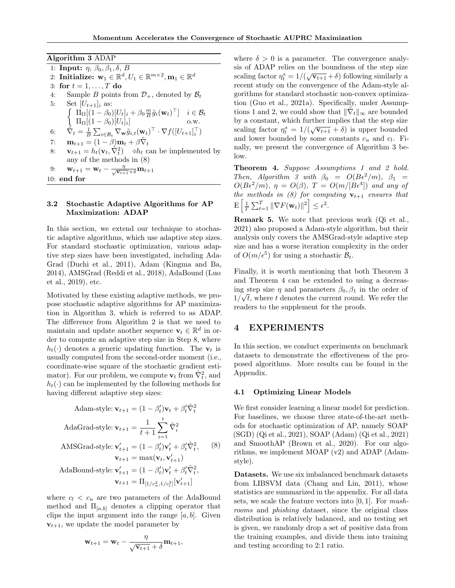Algorithm 3 ADAP 1: Input:  $\eta$ ,  $\beta_0$ ,  $\beta_1$ ,  $\delta$ ,  $B$ 2: Initialize:  $\mathbf{w}_1 \in \mathbb{R}^d, U_1 \in \mathbb{R}^{m \times 2}, \mathbf{m}_1 \in \mathbb{R}^d$ 3: for  $t = 1, \ldots, T$  do 4: Sample B points from  $\mathcal{D}_+$ , denoted by  $\mathcal{B}_t$ <br>5: Set  $[U_{t+1}]_i$  as: Set  $[U_{t+1}]_i$  as:  $\left\{\begin{array}{cc} \Pi_{\Omega}[(1-\beta_0)[U_t]_i+\beta_0\frac{m}{B}\tilde{g}_i(\mathbf{w}_t)^{\top}]\ & i\in\mathcal{B}_t\end{array}\right.$  $\Pi_{\Omega}[(1-\beta_0)[U_t]_i]$  o.w. 6:  $\tilde{\nabla}_t = \frac{1}{B} \sum_{i \in \mathcal{B}_t} \nabla_{\mathbf{w}} \tilde{g}_{i,t}(\mathbf{w}_t)^\top \cdot \nabla f([U_{t+1}]_i^\top)$ 7:  $\mathbf{m}_{t+1} = (1 - \beta) \mathbf{m}_t + \beta \tilde{\nabla}_t$ 8:  $\mathbf{v}_{t+1} = h_t(\mathbf{v}_t, \tilde{\nabla}_t^2)$   $\phi h_t$  can be implemented by any of the methods in (8) 9:  $\mathbf{w}_{t+1} = \mathbf{w}_t - \frac{\eta}{\sqrt{\mathbf{v}_{t+1}} + \delta} \mathbf{m}_{t+1}$ 10: end for

### 3.2 Stochastic Adaptive Algorithms for AP Maximization: ADAP

In this section, we extend our technique to stochastic adaptive algorithms, which use adaptive step sizes. For standard stochastic optimization, various adaptive step sizes have been investigated, including Ada-Grad (Duchi et al., 2011), Adam (Kingma and Ba, 2014), AMSGrad (Reddi et al., 2018), AdaBound (Luo et al., 2019), etc.

Motivated by these existing adaptive methods, we propose stochastic adaptive algorithms for AP maximization in Algorithm 3, which is referred to as ADAP. The difference from Algorithm 2 is that we need to maintain and update another sequence  $\mathbf{v}_t \in \mathbb{R}^d$  in order to compute an adaptive step size in Step 8, where  $h_t(\cdot)$  denotes a generic updating function. The  $v_t$  is usually computed from the second-order moment (i.e., coordinate-wise square of the stochastic gradient estimator). For our problem, we compute  $\mathbf{v}_t$  from  $\tilde{\nabla}_t^2$ , and  $h_t(\cdot)$  can be implemented by the following methods for having different adaptive step sizes:

Adam-style: 
$$
\mathbf{v}_{t+1} = (1 - \beta_t')\mathbf{v}_t + \beta_t'\tilde{\nabla}_t^2
$$
  
\nAdaGrad-style:  $\mathbf{v}_{t+1} = \frac{1}{t+1} \sum_{i=1}^t \tilde{\nabla}_i^2$   
\nAMSGrad-style:  $\mathbf{v}'_{t+1} = (1 - \beta_t')\mathbf{v}'_t + \beta_t'\tilde{\nabla}_t^2$ , (8)  
\n $\mathbf{v}_{t+1} = \max(\mathbf{v}_t, \mathbf{v}'_{t+1})$   
\nAdaBound-style:  $\mathbf{v}'_{t+1} = (1 - \beta_t')\mathbf{v}'_t + \beta_t'\tilde{\nabla}_t^2$ ,  
\n $\mathbf{v}_{t+1} = \Pi_{[1/c_u^2, 1/c_l^2]}[\mathbf{v}'_{t+1}]$ 

where  $c_l < c_u$  are two parameters of the AdaBound method and  $\Pi_{[a,b]}$  denotes a clipping operator that clips the input argument into the range  $[a, b]$ . Given  $v_{t+1}$ , we update the model parameter by

$$
\mathbf{w}_{t+1} = \mathbf{w}_t - \frac{\eta}{\sqrt{\mathbf{v}_{t+1}} + \delta} \mathbf{m}_{t+1},
$$

where  $\delta > 0$  is a parameter. The convergence analysis of ADAP relies on the boundness of the step size scaling factor  $\eta_t^s = 1/(\sqrt{\mathbf{v}_{t+1}} + \delta)$  following similarly a recent study on the convergence of the Adam-style algorithms for standard stochastic non-convex optimization (Guo et al., 2021a). Specifically, under Assumptions 1 and 2, we could show that  $\|\tilde{\nabla}_t\|_{\infty}$  are bounded by a constant, which further implies that the step size scaling factor  $\eta_t^s = 1/(\sqrt{\mathbf{v}_{t+1}} + \delta)$  is upper bounded and lower bounded by some constants  $c_u$  and  $c_l$ . Finally, we present the convergence of Algorithm 3 below.

Theorem 4. *Suppose Assumptions 1 and 2 hold. Then, Algorithm 3 with*  $\beta_0 = O(B\epsilon^2/m)$ ,  $\beta_1 =$  $O(B\epsilon^2/m)$ ,  $\eta = O(\beta)$ ,  $T = O(m/[B\epsilon^4])$  and any of *the methods in (8) for computing*  $\mathbf{v}_{t+1}$  *ensures that*  $\mathbb{E}\left[\frac{1}{T}\sum_{t=1}^T \|\nabla F(\mathbf{w}_t)\|^2\right] \leq \epsilon^2.$ 

Remark 5. We note that previous work (Qi et al., 2021) also proposed a Adam-style algorithm, but their analysis only covers the AMSGrad-style adaptive step size and has a worse iteration complexity in the order of  $O(m/\epsilon^5)$  for using a stochastic  $\mathcal{B}_t$ .

Finally, it is worth mentioning that both Theorem 3 and Theorem 4 can be extended to using a decreasing step size  $\eta$  and parameters  $\beta_0, \beta_1$  in the order of  $1/\sqrt{t}$ , where t denotes the current round. We refer the readers to the supplement for the proofs.

### 4 EXPERIMENTS

In this section, we conduct experiments on benchmark datasets to demonstrate the effectiveness of the proposed algorithms. More results can be found in the Appendix.

#### 4.1 Optimizing Linear Models

We first consider learning a linear model for prediction. For baselines, we choose three state-of-the-art methods for stochastic optimization of AP, namely SOAP (SGD) (Qi et al., 2021), SOAP (Adam) (Qi et al., 2021) and SmoothAP (Brown et al., 2020). For our algorithms, we implement MOAP (v2) and ADAP (Adamstyle).

Datasets. We use six imbalanced benchmark datasets from LIBSVM data (Chang and Lin, 2011), whose statistics are summarized in the appendix. For all data sets, we scale the feature vectors into [0, 1]. For *mushrooms* and *phishing* dataset, since the original class distribution is relatively balanced, and no testing set is given, we randomly drop a set of positive data from the training examples, and divide them into training and testing according to 2:1 ratio.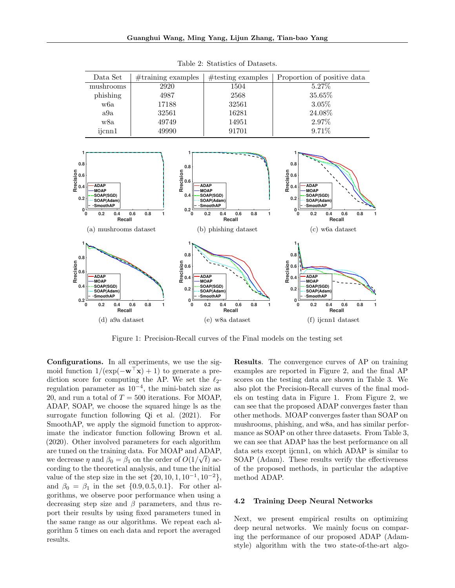

Table 2: Statistics of Datasets.



Figure 1: Precision-Recall curves of the Final models on the testing set

Configurations. In all experiments, we use the sigmoid function  $1/(\exp(-\mathbf{w}^T\mathbf{x})+1)$  to generate a prediction score for computing the AP. We set the  $\ell_2$ regulation parameter as  $10^{-4}$ , the mini-batch size as 20, and run a total of  $T = 500$  iterations. For MOAP, ADAP, SOAP, we choose the squared hinge ls as the surrogate function following Qi et al. (2021). For SmoothAP, we apply the sigmoid function to approximate the indicator function following Brown et al. (2020). Other involved parameters for each algorithm are tuned on the training data. For MOAP and ADAP, we decrease  $\eta$  and  $\beta_0 = \beta_1$  on the order of  $O(1/\sqrt{t})$  according to the theoretical analysis, and tune the initial value of the step size in the set  $\{20, 10, 1, 10^{-1}, 10^{-2}\},$ and  $\beta_0 = \beta_1$  in the set  $\{0.9, 0.5, 0.1\}$ . For other algorithms, we observe poor performance when using a decreasing step size and  $\beta$  parameters, and thus report their results by using fixed parameters tuned in the same range as our algorithms. We repeat each algorithm 5 times on each data and report the averaged results.

Results. The convergence curves of AP on training examples are reported in Figure 2, and the final AP scores on the testing data are shown in Table 3. We also plot the Precision-Recall curves of the final models on testing data in Figure 1. From Figure 2, we can see that the proposed ADAP converges faster than other methods. MOAP converges faster than SOAP on mushrooms, phishing, and w8a, and has similar performance as SOAP on other three datasets. From Table 3, we can see that ADAP has the best performance on all data sets except ijcnn1, on which ADAP is similar to SOAP (Adam). These results verify the effectiveness of the proposed methods, in particular the adaptive method ADAP.

#### 4.2 Training Deep Neural Networks

Next, we present empirical results on optimizing deep neural networks. We mainly focus on comparing the performance of our proposed ADAP (Adamstyle) algorithm with the two state-of-the-art algo-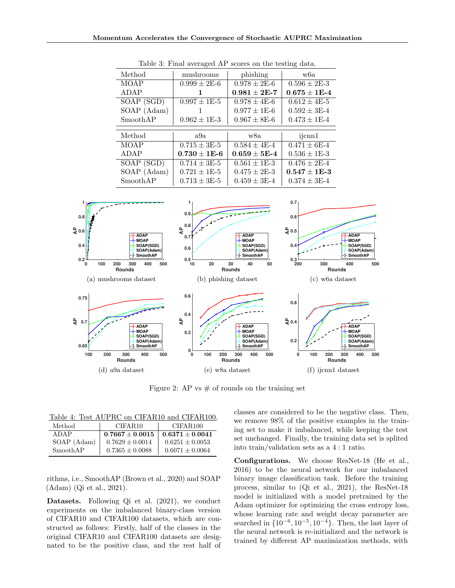| Method      | mushrooms          | phishing           | w6a                |
|-------------|--------------------|--------------------|--------------------|
| <b>MOAP</b> | $0.999 \pm 2E - 6$ | $0.978 \pm 2E - 6$ | $0.596 \pm 2E - 3$ |
| ADAP        |                    | $0.981 + 2E - 7$   | $0.675 + 1E-4$     |
| SOAP (SGD)  | $0.997 \pm 1E-5$   | $0.978 \pm 4E-6$   | $0.612 \pm 4E - 5$ |
| SOAP (Adam) |                    | $0.977 \pm 1E-6$   | $0.592 \pm 3E - 4$ |
| SmoothAP    | $0.962 \pm 1E - 3$ | $0.967 \pm 8E - 6$ | $0.473 \pm 1E-4$   |
|             |                    |                    |                    |
| Method      | a9a                | w8a                | ijcnn1             |
| <b>MOAP</b> | $0.715 \pm 3E-5$   | $0.584 \pm 4E - 4$ | $0.471 \pm 6E - 4$ |
| ADAP        | $0.730 \pm 1E - 6$ | $0.659 + 5E-4$     | $0.536 \pm 1E-3$   |
| SOAP (SGD)  | $0.714 \pm 3E - 5$ | $0.561 \pm 1E-3$   | $0.476 \pm 2E-4$   |
| SOAP (Adam) | $0.721 \pm 1E-5$   | $0.475 \pm 2E - 3$ | $0.547 \pm 1E-3$   |
| SmoothAP    | $0.713 \pm 3E - 5$ | $0.459 \pm 3E - 4$ | $0.374 \pm 3E - 4$ |

Table 3: Final averaged AP scores on the testing data.



Figure 2: AP vs  $\#$  of rounds on the training set

Table 4: Test AUPRC on CIFAR10 and CIFAR100.

| Method      | CIFAR <sub>10</sub> | CIFAR100            |
|-------------|---------------------|---------------------|
| ADAP        | $0.7667 \pm 0.0015$ | $0.6371 + 0.0041$   |
| SOAP (Adam) | $0.7629 \pm 0.0014$ | $0.6251 + 0.0053$   |
| SmoothAP    | $0.7365 \pm 0.0088$ | $0.6071 \pm 0.0064$ |

rithms, i.e., SmoothAP (Brown et al., 2020) and SOAP (Adam) (Qi et al., 2021).

Datasets. Following Qi et al. (2021), we conduct experiments on the imbalanced binary-class version of CIFAR10 and CIFAR100 datasets, which are constructed as follows: Firstly, half of the classes in the original CIFAR10 and CIFAR100 datasets are designated to be the positive class, and the rest half of classes are considered to be the negative class. Then, we remove 98% of the positive examples in the training set to make it imbalanced, while keeping the test set unchanged. Finally, the training data set is splited into train/validation sets as a 4 : 1 ratio.

Configurations. We choose ResNet-18 (He et al., 2016) to be the neural network for our imbalanced binary image classification task. Before the training process, similar to (Qi et al., 2021), the ResNet-18 model is initialized with a model pretrained by the Adam optimizer for optimizing the cross entropy loss, whose learning rate and weight decay parameter are searched in  $\{10^{-6}, 10^{-5}, 10^{-4}\}$ . Then, the last layer of the neural network is re-initialized and the network is trained by different AP maximization methods, with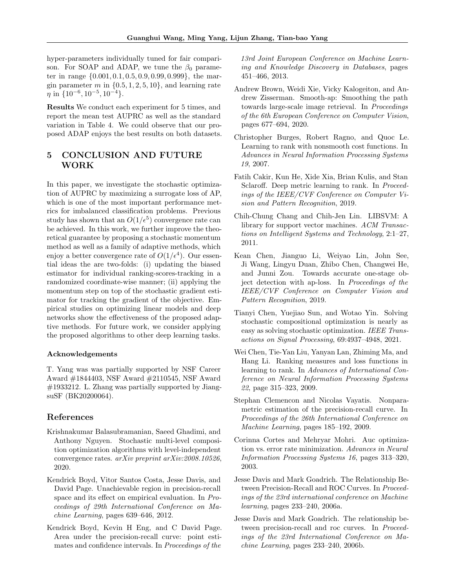hyper-parameters individually tuned for fair comparison. For SOAP and ADAP, we tune the  $\beta_0$  parameter in range {0.001, 0.1, 0.5, 0.9, 0.99, 0.999}, the margin parameter m in  $\{0.5, 1, 2, 5, 10\}$ , and learning rate  $\eta$  in  $\{10^{-6}, 10^{-5}, 10^{-4}\}.$ 

Results We conduct each experiment for 5 times, and report the mean test AUPRC as well as the standard variation in Table 4. We could observe that our proposed ADAP enjoys the best results on both datasets.

# 5 CONCLUSION AND FUTURE WORK

In this paper, we investigate the stochastic optimization of AUPRC by maximizing a surrogate loss of AP, which is one of the most important performance metrics for imbalanced classification problems. Previous study has shown that an  $O(1/\epsilon^5)$  convergence rate can be achieved. In this work, we further improve the theoretical guarantee by proposing a stochastic momentum method as well as a family of adaptive methods, which enjoy a better convergence rate of  $O(1/\epsilon^4)$ . Our essential ideas the are two-folds: (i) updating the biased estimator for individual ranking-scores-tracking in a randomized coordinate-wise manner; (ii) applying the momentum step on top of the stochastic gradient estimator for tracking the gradient of the objective. Empirical studies on optimizing linear models and deep networks show the effectiveness of the proposed adaptive methods. For future work, we consider applying the proposed algorithms to other deep learning tasks.

#### Acknowledgements

T. Yang was was partially supported by NSF Career Award #1844403, NSF Award #2110545, NSF Award #1933212. L. Zhang was partially supported by JiangsuSF (BK20200064).

### References

- Krishnakumar Balasubramanian, Saeed Ghadimi, and Anthony Nguyen. Stochastic multi-level composition optimization algorithms with level-independent convergence rates. *arXiv preprint arXiv:2008.10526*, 2020.
- Kendrick Boyd, Vitor Santos Costa, Jesse Davis, and David Page. Unachievable region in precision-recall space and its effect on empirical evaluation. In *Proceedings of 29th International Conference on Machine Learning*, pages 639–646, 2012.
- Kendrick Boyd, Kevin H Eng, and C David Page. Area under the precision-recall curve: point estimates and confidence intervals. In *Proceedings of the*

*13rd Joint European Conference on Machine Learning and Knowledge Discovery in Databases*, pages 451–466, 2013.

- Andrew Brown, Weidi Xie, Vicky Kalogeiton, and Andrew Zisserman. Smooth-ap: Smoothing the path towards large-scale image retrieval. In *Proceedings of the 6th European Conference on Computer Vision*, pages 677–694, 2020.
- Christopher Burges, Robert Ragno, and Quoc Le. Learning to rank with nonsmooth cost functions. In *Advances in Neural Information Processing Systems 19*, 2007.
- Fatih Cakir, Kun He, Xide Xia, Brian Kulis, and Stan Sclaroff. Deep metric learning to rank. In *Proceedings of the IEEE/CVF Conference on Computer Vision and Pattern Recognition*, 2019.
- Chih-Chung Chang and Chih-Jen Lin. LIBSVM: A library for support vector machines. *ACM Transactions on Intelligent Systems and Technology*, 2:1–27, 2011.
- Kean Chen, Jianguo Li, Weiyao Lin, John See, Ji Wang, Lingyu Duan, Zhibo Chen, Changwei He, and Junni Zou. Towards accurate one-stage object detection with ap-loss. In *Proceedings of the IEEE/CVF Conference on Computer Vision and Pattern Recognition*, 2019.
- Tianyi Chen, Yuejiao Sun, and Wotao Yin. Solving stochastic compositional optimization is nearly as easy as solving stochastic optimization. *IEEE Transactions on Signal Processing*, 69:4937–4948, 2021.
- Wei Chen, Tie-Yan Liu, Yanyan Lan, Zhiming Ma, and Hang Li. Ranking measures and loss functions in learning to rank. In *Advances of International Conference on Neural Information Processing Systems 22*, page 315–323, 2009.
- Stephan Clemencon and Nicolas Vayatis. Nonparametric estimation of the precision-recall curve. In *Proceedings of the 26th International Conference on Machine Learning*, pages 185–192, 2009.
- Corinna Cortes and Mehryar Mohri. Auc optimization vs. error rate minimization. *Advances in Neural Information Processing Systems 16*, pages 313–320, 2003.
- Jesse Davis and Mark Goadrich. The Relationship Between Precision-Recall and ROC Curves. In *Proceedings of the 23rd international conference on Machine learning*, pages 233–240, 2006a.
- Jesse Davis and Mark Goadrich. The relationship between precision-recall and roc curves. In *Proceedings of the 23rd International Conference on Machine Learning*, pages 233–240, 2006b.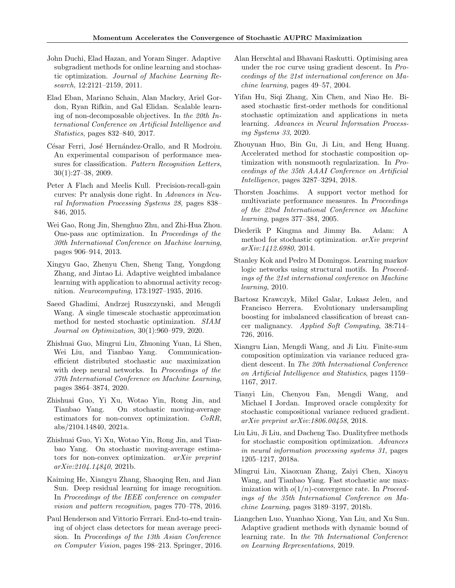- John Duchi, Elad Hazan, and Yoram Singer. Adaptive subgradient methods for online learning and stochastic optimization. *Journal of Machine Learning Research*, 12:2121–2159, 2011.
- Elad Eban, Mariano Schain, Alan Mackey, Ariel Gordon, Ryan Rifkin, and Gal Elidan. Scalable learning of non-decomposable objectives. In *the 20th International Conference on Artificial Intelligence and Statistics*, pages 832–840, 2017.
- César Ferri, José Hernández-Orallo, and R Modroiu. An experimental comparison of performance measures for classification. *Pattern Recognition Letters*, 30(1):27–38, 2009.
- Peter A Flach and Meelis Kull. Precision-recall-gain curves: Pr analysis done right. In *Advances in Neural Information Processing Systems 28*, pages 838– 846, 2015.
- Wei Gao, Rong Jin, Shenghuo Zhu, and Zhi-Hua Zhou. One-pass auc optimization. In *Proceedings of the 30th International Conference on Machine learning*, pages 906–914, 2013.
- Xingyu Gao, Zhenyu Chen, Sheng Tang, Yongdong Zhang, and Jintao Li. Adaptive weighted imbalance learning with application to abnormal activity recognition. *Neurocomputing*, 173:1927–1935, 2016.
- Saeed Ghadimi, Andrzej Ruszczynski, and Mengdi Wang. A single timescale stochastic approximation method for nested stochastic optimization. *SIAM Journal on Optimization*, 30(1):960–979, 2020.
- Zhishuai Guo, Mingrui Liu, Zhuoning Yuan, Li Shen, Wei Liu, and Tianbao Yang. Communicationefficient distributed stochastic auc maximization with deep neural networks. In *Proceedings of the 37th International Conference on Machine Learning*, pages 3864–3874, 2020.
- Zhishuai Guo, Yi Xu, Wotao Yin, Rong Jin, and Tianbao Yang. On stochastic moving-average estimators for non-convex optimization. *CoRR*, abs/2104.14840, 2021a.
- Zhishuai Guo, Yi Xu, Wotao Yin, Rong Jin, and Tianbao Yang. On stochastic moving-average estimators for non-convex optimization. *arXiv preprint arXiv:2104.14840*, 2021b.
- Kaiming He, Xiangyu Zhang, Shaoqing Ren, and Jian Sun. Deep residual learning for image recognition. In *Proceedings of the IEEE conference on computer vision and pattern recognition*, pages 770–778, 2016.
- Paul Henderson and Vittorio Ferrari. End-to-end training of object class detectors for mean average precision. In *Proceedings of the 13th Asian Conference on Computer Vision*, pages 198–213. Springer, 2016.
- Alan Herschtal and Bhavani Raskutti. Optimising area under the roc curve using gradient descent. In *Proceedings of the 21st international conference on Machine learning*, pages 49–57, 2004.
- Yifan Hu, Siqi Zhang, Xin Chen, and Niao He. Biased stochastic first-order methods for conditional stochastic optimization and applications in meta learning. *Advances in Neural Information Processing Systems 33*, 2020.
- Zhouyuan Huo, Bin Gu, Ji Liu, and Heng Huang. Accelerated method for stochastic composition optimization with nonsmooth regularization. In *Proceedings of the 35th AAAI Conference on Artificial Intelligence*, pages 3287–3294, 2018.
- Thorsten Joachims. A support vector method for multivariate performance measures. In *Proceedings of the 22nd International Conference on Machine learning*, pages 377–384, 2005.
- Diederik P Kingma and Jimmy Ba. Adam: A method for stochastic optimization. *arXiv preprint arXiv:1412.6980*, 2014.
- Stanley Kok and Pedro M Domingos. Learning markov logic networks using structural motifs. In *Proceedings of the 21st international conference on Machine learning*, 2010.
- Bartosz Krawczyk, Mikel Galar, Lukasz Jelen, and Francisco Herrera. Evolutionary undersampling boosting for imbalanced classification of breast cancer malignancy. *Applied Soft Computing*, 38:714– 726, 2016.
- Xiangru Lian, Mengdi Wang, and Ji Liu. Finite-sum composition optimization via variance reduced gradient descent. In *The 20th International Conference on Artificial Intelligence and Statistics*, pages 1159– 1167, 2017.
- Tianyi Lin, Chenyou Fan, Mengdi Wang, and Michael I Jordan. Improved oracle complexity for stochastic compositional variance reduced gradient. *arXiv preprint arXiv:1806.00458*, 2018.
- Liu Liu, Ji Liu, and Dacheng Tao. Dualityfree methods for stochastic composition optimization. *Advances in neural information processing systems 31*, pages 1205–1217, 2018a.
- Mingrui Liu, Xiaoxuan Zhang, Zaiyi Chen, Xiaoyu Wang, and Tianbao Yang. Fast stochastic auc maximization with o(1/n)-convergence rate. In *Proceedings of the 35th International Conference on Machine Learning*, pages 3189–3197, 2018b.
- Liangchen Luo, Yuanhao Xiong, Yan Liu, and Xu Sun. Adaptive gradient methods with dynamic bound of learning rate. In *the 7th International Conference on Learning Representations*, 2019.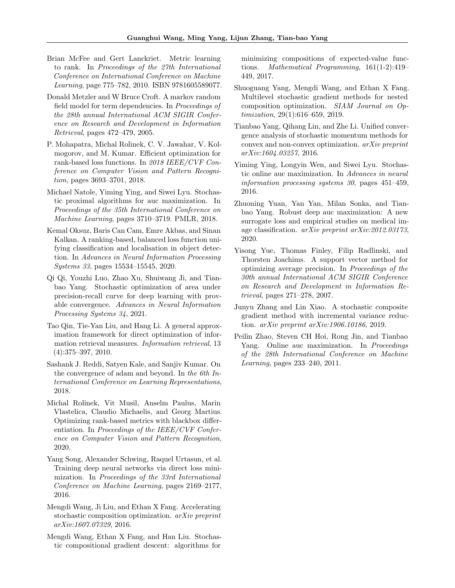- Brian McFee and Gert Lanckriet. Metric learning to rank. In *Proceedings of the 27th International Conference on International Conference on Machine Learning*, page 775–782, 2010. ISBN 9781605589077.
- Donald Metzler and W Bruce Croft. A markov random field model for term dependencies. In *Proceedings of the 28th annual International ACM SIGIR Conference on Research and Development in Information Retrieval*, pages 472–479, 2005.
- P. Mohapatra, Michal Rolinek, C. V. Jawahar, V. Kolmogorov, and M. Kumar. Efficient optimization for rank-based loss functions. In *2018 IEEE/CVF Conference on Computer Vision and Pattern Recognition*, pages 3693–3701, 2018.
- Michael Natole, Yiming Ying, and Siwei Lyu. Stochastic proximal algorithms for auc maximization. In *Proceedings of the 35th International Conference on Machine Learning*, pages 3710–3719. PMLR, 2018.
- Kemal Oksuz, Baris Can Cam, Emre Akbas, and Sinan Kalkan. A ranking-based, balanced loss function unifying classification and localisation in object detection. In *Advances in Neural Information Processing Systems 33*, pages 15534–15545, 2020.
- Qi Qi, Youzhi Luo, Zhao Xu, Shuiwang Ji, and Tianbao Yang. Stochastic optimization of area under precision-recall curve for deep learning with provable convergence. *Advances in Neural Information Processing Systems 34*, 2021.
- Tao Qin, Tie-Yan Liu, and Hang Li. A general approximation framework for direct optimization of information retrieval measures. *Information retrieval*, 13 (4):375–397, 2010.
- Sashank J. Reddi, Satyen Kale, and Sanjiv Kumar. On the convergence of adam and beyond. In *the 6th International Conference on Learning Representations*, 2018.
- Michal Rolinek, Vit Musil, Anselm Paulus, Marin Vlastelica, Claudio Michaelis, and Georg Martius. Optimizing rank-based metrics with blackbox differentiation. In *Proceedings of the IEEE/CVF Conference on Computer Vision and Pattern Recognition*, 2020.
- Yang Song, Alexander Schwing, Raquel Urtasun, et al. Training deep neural networks via direct loss minimization. In *Proceedings of the 33rd International Conference on Machine Learning*, pages 2169–2177, 2016.
- Mengdi Wang, Ji Liu, and Ethan X Fang. Accelerating stochastic composition optimization. *arXiv preprint arXiv:1607.07329*, 2016.
- Mengdi Wang, Ethan X Fang, and Han Liu. Stochastic compositional gradient descent: algorithms for

minimizing compositions of expected-value functions. *Mathematical Programming*, 161(1-2):419– 449, 2017.

- Shuoguang Yang, Mengdi Wang, and Ethan X Fang. Multilevel stochastic gradient methods for nested composition optimization. *SIAM Journal on Optimization*, 29(1):616–659, 2019.
- Tianbao Yang, Qihang Lin, and Zhe Li. Unified convergence analysis of stochastic momentum methods for convex and non-convex optimization. *arXiv preprint arXiv:1604.03257*, 2016.
- Yiming Ying, Longyin Wen, and Siwei Lyu. Stochastic online auc maximization. In *Advances in neural information processing systems 30*, pages 451–459, 2016.
- Zhuoning Yuan, Yan Yan, Milan Sonka, and Tianbao Yang. Robust deep auc maximization: A new surrogate loss and empirical studies on medical image classification. *arXiv preprint arXiv:2012.03173*, 2020.
- Yisong Yue, Thomas Finley, Filip Radlinski, and Thorsten Joachims. A support vector method for optimizing average precision. In *Proceedings of the 30th annual International ACM SIGIR Conference on Research and Development in Information Retrieval*, pages 271–278, 2007.
- Junyu Zhang and Lin Xiao. A stochastic composite gradient method with incremental variance reduction. *arXiv preprint arXiv:1906.10186*, 2019.
- Peilin Zhao, Steven CH Hoi, Rong Jin, and Tianbao Yang. Online auc maximization. In *Proceedings of the 28th International Conference on Machine Learning*, pages 233–240, 2011.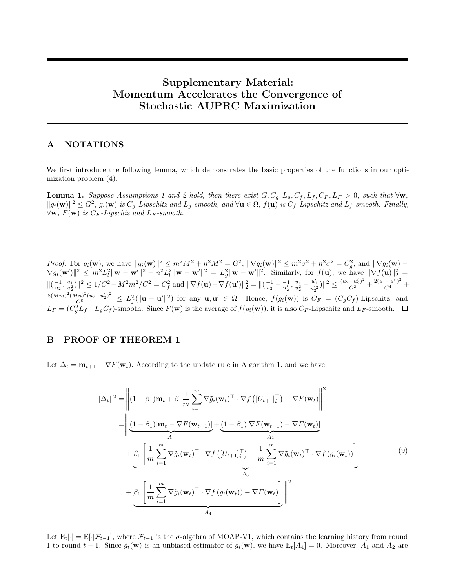# Supplementary Material: Momentum Accelerates the Convergence of Stochastic AUPRC Maximization

# A NOTATIONS

We first introduce the following lemma, which demonstrates the basic properties of the functions in our optimization problem (4).

**Lemma 1.** *Suppose Assumptions 1 and 2 hold, then there exist*  $G, C_g, L_g, C_f, L_f, C_F, L_F > 0$ , such that  $\forall w$ ,  $||g_i(\mathbf{w})||^2 \leq G^2$ ,  $g_i(\mathbf{w})$  *is*  $C_g$ -Lipschitz and  $L_g$ -smooth, and  $\forall \mathbf{u} \in \Omega$ ,  $f(\mathbf{u})$  *is*  $C_f$ -Lipschitz and  $L_f$ -smooth. Finally,  $\forall$ **w**,  $F$ (**w**) *is*  $C_F$ *-Lipschiz and*  $L_F$ *-smooth.* 

*Proof.* For  $g_i(\mathbf{w})$ , we have  $||g_i(\mathbf{w})||^2 \le m^2 M^2 + n^2 M^2 = G^2$ ,  $||\nabla g_i(\mathbf{w})||^2 \le m^2 \sigma^2 + n^2 \sigma^2 = C_g^2$ , and  $||\nabla g_i(\mathbf{w}) \nabla g_i(\mathbf{w}')\|^2 \leq m^2 L_l^2 \|\mathbf{w} - \mathbf{w}'\|^2 + n^2 L_l^2 \|\mathbf{w} - \mathbf{w}'\|^2 = L_g^2 \|\mathbf{w} - \mathbf{w}'\|^2$ . Similarly, for  $f(\mathbf{u})$ , we have  $\|\nabla f(\mathbf{u})\|^2$  $\|(\frac{-1}{u_2}, \frac{u_1}{u_2^2})\|^2 \le 1/C^2 + M^2 m^2/C^2 = C_f^2$  and  $\|\nabla f(\mathbf{u}) - \nabla f(\mathbf{u}')\|_2^2 = \|(\frac{-1}{u_2} - \frac{-1}{u_2'}, \frac{u_1}{u_2^2} - \frac{u_1'}{u_2'^2})\|^2 \le \frac{(u_2 - u_2')^2}{C^2} + \frac{2(u_1 - u_1')^2}{C^4} +$  $\frac{8(Mm)^2(Mn)^2(u_2-u'_2)^2}{C^8} \leq L_f^2(\|\mathbf{u}-\mathbf{u}'\|^2)$  for any  $\mathbf{u}, \mathbf{u}' \in \Omega$ . Hence,  $f(g_i(\mathbf{w}))$  is  $C_F = (C_gC_f)$ -Lipschitz, and  $L_F = (C_g^2 L_f + L_g C_f)$ -smooth. Since  $F(\mathbf{w})$  is the average of  $f(g_i(\mathbf{w}))$ , it is also  $C_F$ -Lipschitz and  $L_F$ -smooth.

# B PROOF OF THEOREM 1

Let  $\Delta_t = \mathbf{m}_{t+1} - \nabla F(\mathbf{w}_t)$ . According to the update rule in Algorithm 1, and we have

$$
\|\Delta_{t}\|^{2} = \left\| (1 - \beta_{1}) \mathbf{m}_{t} + \beta_{1} \frac{1}{m} \sum_{i=1}^{m} \nabla \tilde{g}_{i}(\mathbf{w}_{t})^{\top} \cdot \nabla f \left( [U_{t+1}]_{i}^{\top} \right) - \nabla F(\mathbf{w}_{t}) \right\|^{2}
$$

$$
= \left\| \underbrace{(1 - \beta_{1})[\mathbf{m}_{t} - \nabla F(\mathbf{w}_{t-1})]}_{A_{1}} + \underbrace{(1 - \beta_{1})[\nabla F(\mathbf{w}_{t-1}) - \nabla F(\mathbf{w}_{t})]}_{A_{2}} + \underbrace{\beta_{1} \left[ \frac{1}{m} \sum_{i=1}^{m} \nabla \tilde{g}_{i}(\mathbf{w}_{t})^{\top} \cdot \nabla f \left( [U_{t+1}]_{i}^{\top} \right) - \frac{1}{m} \sum_{i=1}^{m} \nabla \tilde{g}_{i}(\mathbf{w}_{t})^{\top} \cdot \nabla f \left( g_{i}(\mathbf{w}_{t}) \right) \right]}_{A_{3}}
$$

$$
+ \underbrace{\beta_{1} \left[ \frac{1}{m} \sum_{i=1}^{m} \nabla \tilde{g}_{i}(\mathbf{w}_{t})^{\top} \cdot \nabla f \left( g_{i}(\mathbf{w}_{t}) \right) - \nabla F(\mathbf{w}_{t}) \right]}_{A_{4}} \right\|^{2}.
$$

$$
(9)
$$

Let  $E_t[\cdot] = E[\cdot|\mathcal{F}_{t-1}]$ , where  $\mathcal{F}_{t-1}$  is the  $\sigma$ -algebra of MOAP-V1, which contains the learning history from round 1 to round  $t-1$ . Since  $\tilde{g}_t(\mathbf{w})$  is an unbiased estimator of  $g_i(\mathbf{w})$ , we have  $E_t[A_4] = 0$ . Moreover,  $A_1$  and  $A_2$  are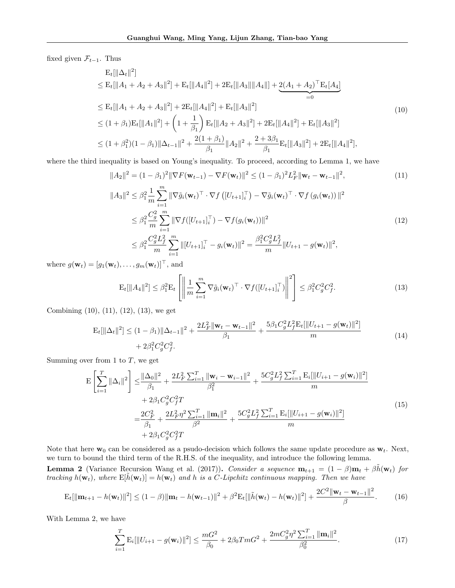fixed given  $\mathcal{F}_{t-1}$ . Thus

$$
E_{t}[\|\Delta_{t}\|^{2}]
$$
  
\n
$$
\leq E_{t}[\|A_{1} + A_{2} + A_{3}\|^{2}] + E_{t}[\|A_{4}\|^{2}] + 2E_{t}[\|A_{3}\| \|A_{4}\|] + 2(A_{1} + A_{2})^{\top} E_{t}[A_{4}]
$$
  
\n
$$
\leq E_{t}[\|A_{1} + A_{2} + A_{3}\|^{2}] + 2E_{t}[\|A_{4}\|^{2}] + E_{t}[\|A_{3}\|^{2}]
$$
  
\n
$$
\leq (1 + \beta_{1})E_{t}[\|A_{1}\|^{2}] + \left(1 + \frac{1}{\beta_{1}}\right)E_{t}[\|A_{2} + A_{3}\|^{2}] + 2E_{t}[\|A_{4}\|^{2}] + E_{t}[\|A_{3}\|^{2}]
$$
  
\n
$$
\leq (1 + \beta_{1}^{2})(1 - \beta_{1})\|\Delta_{t-1}\|^{2} + \frac{2(1 + \beta_{1})}{\beta_{1}}\|A_{2}\|^{2} + \frac{2 + 3\beta_{1}}{\beta_{1}}E_{t}[\|A_{3}\|^{2}] + 2E_{t}[\|A_{4}\|^{2}],
$$
\n(10)

where the third inequality is based on Young's inequality. To proceed, according to Lemma 1, we have

$$
||A_{2}||^{2} = (1 - \beta_{1})^{2} ||\nabla F(\mathbf{w}_{t-1}) - \nabla F(\mathbf{w}_{t})||^{2} \leq (1 - \beta_{1})^{2} L_{F}^{2} ||\mathbf{w}_{t} - \mathbf{w}_{t-1}||^{2},
$$
\n
$$
||A_{3}||^{2} \leq \beta_{1}^{2} \frac{1}{m} \sum_{i=1}^{m} ||\nabla \tilde{g}_{i}(\mathbf{w}_{t})^{\top} \cdot \nabla f([U_{t+1}]_{i}^{\top}) - \nabla \tilde{g}_{i}(\mathbf{w}_{t})^{\top} \cdot \nabla f(g_{i}(\mathbf{w}_{t}))||^{2}
$$
\n
$$
\leq \beta_{1}^{2} \frac{C_{g}^{2}}{m} \sum_{i=1}^{m} ||\nabla f([U_{t+1}]_{i}^{\top}) - \nabla f(g_{i}(\mathbf{w}_{t}))||^{2}
$$
\n
$$
\leq \beta_{1}^{2} \frac{C_{g}^{2} L_{f}^{2}}{m} \sum_{i=1}^{m} ||[U_{t+1}]_{i}^{\top} - g_{i}(\mathbf{w}_{t})||^{2} = \frac{\beta_{1}^{2} C_{g}^{2} L_{f}^{2}}{m} ||U_{t+1} - g(\mathbf{w}_{t})||^{2},
$$
\n(12)

where  $g(\mathbf{w}_t) = [g_1(\mathbf{w}_t), \dots, g_m(\mathbf{w}_t)]^\top$ , and

$$
\mathbf{E}_{t}[\|A_{4}\|^{2}] \leq \beta_{1}^{2} \mathbf{E}_{t} \left[ \left\| \frac{1}{m} \sum_{i=1}^{m} \nabla \tilde{g}_{i}(\mathbf{w}_{t})^{\top} \cdot \nabla f([U_{t+1}]_{i}^{\top}) \right\|^{2} \right] \leq \beta_{1}^{2} C_{g}^{2} C_{f}^{2}.
$$
 (13)

Combining (10), (11), (12), (13), we get

$$
\mathbf{E}_{t}[\|\Delta_{t}\|^{2}] \leq (1 - \beta_{1})\|\Delta_{t-1}\|^{2} + \frac{2L_{F}^{2}\|\mathbf{w}_{t} - \mathbf{w}_{t-1}\|^{2}}{\beta_{1}} + \frac{5\beta_{1}C_{g}^{2}L_{f}^{2}\mathbf{E}_{t}[\|U_{t+1} - g(\mathbf{w}_{t})\|^{2}]}{m} + 2\beta_{1}^{2}C_{g}^{2}C_{f}^{2}.
$$
\n(14)

Summing over from 1 to  $T$ , we get

$$
\mathbf{E}\left[\sum_{i=1}^{T}||\Delta_{i}||^{2}\right] \leq \frac{||\Delta_{0}||^{2}}{\beta_{1}} + \frac{2L_{F}^{2}\sum_{i=1}^{T}||\mathbf{w}_{i} - \mathbf{w}_{i-1}||^{2}}{\beta_{1}^{2}} + \frac{5C_{g}^{2}L_{f}^{2}\sum_{i=1}^{T}\mathbf{E}_{i}[\|U_{i+1} - g(\mathbf{w}_{i})\|^{2}]}{m} + 2\beta_{1}C_{g}^{2}C_{f}^{2}T
$$
\n
$$
= \frac{2C_{F}^{2}}{\beta_{1}} + \frac{2L_{F}^{2}\eta^{2}\sum_{i=1}^{T}||\mathbf{m}_{i}||^{2}}{\beta_{2}^{2}} + \frac{5C_{g}^{2}L_{f}^{2}\sum_{i=1}^{T}\mathbf{E}_{i}[\|U_{i+1} - g(\mathbf{w}_{i})\|^{2}]}{m} + 2\beta_{1}C_{g}^{2}C_{f}^{2}T
$$
\n(15)

Note that here  $w_0$  can be considered as a psudo-decision which follows the same update procedure as  $w_t$ . Next, we turn to bound the third term of the R.H.S. of the inequality, and introduce the following lemma. **Lemma 2** (Variance Recursion Wang et al. (2017)). *Consider a sequence*  $\mathbf{m}_{t+1} = (1 - \beta)\mathbf{m}_t + \beta \tilde{h}(\mathbf{w}_t)$  *for tracking*  $h(\mathbf{w}_t)$ , where  $E[\tilde{h}(\mathbf{w}_t)] = h(\mathbf{w}_t)$  and h is a C-Lipchitz continuous mapping. Then we have

$$
\mathbf{E}_{t}[\|\mathbf{m}_{t+1} - h(\mathbf{w}_{t})\|^{2}] \leq (1 - \beta) \|\mathbf{m}_{t} - h(\mathbf{w}_{t-1})\|^{2} + \beta^{2} \mathbf{E}_{t}[\|\tilde{h}(\mathbf{w}_{t}) - h(\mathbf{w}_{t})\|^{2}] + \frac{2C^{2} \|\mathbf{w}_{t} - \mathbf{w}_{t-1}\|^{2}}{\beta}.
$$
 (16)

With Lemma 2, we have

$$
\sum_{i=1}^{T} \mathbf{E}_{i}[\|U_{i+1} - g(\mathbf{w}_{i})\|^{2}] \leq \frac{mG^{2}}{\beta_{0}} + 2\beta_{0}TmG^{2} + \frac{2mC_{g}^{2}\eta^{2}\sum_{i=1}^{T} \|\mathbf{m}_{i}\|^{2}}{\beta_{0}^{2}}.
$$
\n(17)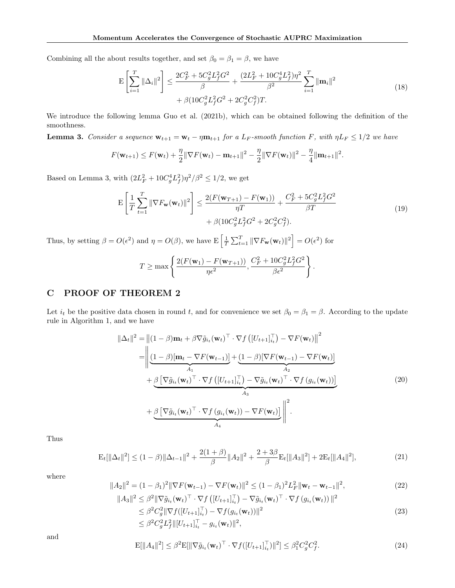Combining all the about results together, and set  $\beta_0 = \beta_1 = \beta$ , we have

$$
\mathbf{E}\left[\sum_{i=1}^{T} \|\Delta_{i}\|^{2}\right] \leq \frac{2C_{F}^{2} + 5C_{g}^{2}L_{f}^{2}G^{2}}{\beta} + \frac{(2L_{F}^{2} + 10C_{g}^{4}L_{f}^{2})\eta^{2}}{\beta^{2}}\sum_{i=1}^{T} \|\mathbf{m}_{i}\|^{2} + \beta(10C_{g}^{2}L_{f}^{2}G^{2} + 2C_{g}^{2}C_{f}^{2})T.
$$
\n(18)

We introduce the following lemma Guo et al. (2021b), which can be obtained following the definition of the smoothness.

**Lemma 3.** *Consider a sequence*  $\mathbf{w}_{t+1} = \mathbf{w}_t - \eta \mathbf{m}_{t+1}$  *for a L<sub>F</sub>-smooth function* F, with  $\eta L_F \leq 1/2$  *we have* 

$$
F(\mathbf{w}_{t+1}) \leq F(\mathbf{w}_t) + \frac{\eta}{2} \|\nabla F(\mathbf{w}_t) - \mathbf{m}_{t+1}\|^2 - \frac{\eta}{2} \|\nabla F(\mathbf{w}_t)\|^2 - \frac{\eta}{4} \|\mathbf{m}_{t+1}\|^2.
$$

Based on Lemma 3, with  $(2L_F^2 + 10C_g^4L_f^2)\eta^2/\beta^2 \leq 1/2$ , we get

$$
\mathbf{E}\left[\frac{1}{T}\sum_{t=1}^{T} \|\nabla F_{\mathbf{w}}(\mathbf{w}_{t})\|^{2}\right] \leq \frac{2(F(\mathbf{w}_{T+1}) - F(\mathbf{w}_{1}))}{\eta T} + \frac{C_{F}^{2} + 5C_{g}^{2}L_{f}^{2}G^{2}}{\beta T} + \beta(10C_{g}^{2}L_{f}^{2}G^{2} + 2C_{g}^{2}C_{f}^{2}).
$$
\n(19)

Thus, by setting  $\beta = O(\epsilon^2)$  and  $\eta = O(\beta)$ , we have  $\mathbb{E}\left[\frac{1}{T}\sum_{t=1}^T \|\nabla F_{\mathbf{w}}(\mathbf{w}_t)\|^2\right] = O(\epsilon^2)$  for

$$
T \ge \max \left\{ \frac{2(F(\mathbf{w}_1) - F(\mathbf{w}_{T+1}))}{\eta \epsilon^2}, \frac{C_F^2 + 10C_g^2 L_f^2 G^2}{\beta \epsilon^2} \right\}.
$$

### C PROOF OF THEOREM 2

Let  $i_t$  be the positive data chosen in round t, and for convenience we set  $\beta_0 = \beta_1 = \beta$ . According to the update rule in Algorithm 1, and we have

$$
\|\Delta_t\|^2 = \left\| (1 - \beta) \mathbf{m}_t + \beta \nabla \tilde{g}_{i_t}(\mathbf{w}_t)^\top \cdot \nabla f \left( [U_{t+1}]_{i_t}^\top \right) - \nabla F(\mathbf{w}_t) \right\|^2
$$
  
\n
$$
= \left\| \underbrace{(1 - \beta) [\mathbf{m}_t - \nabla F(\mathbf{w}_{t-1})]}_{A_1} + \underbrace{(1 - \beta) [\nabla F(\mathbf{w}_{t-1}) - \nabla F(\mathbf{w}_t)]}_{A_3} + \underbrace{\beta \left[ \nabla \tilde{g}_{i_t}(\mathbf{w}_t)^\top \cdot \nabla f \left( [U_{t+1}]_{i_t}^\top \right) - \nabla \tilde{g}_{i_t}(\mathbf{w}_t)^\top \cdot \nabla f \left( g_{i_t}(\mathbf{w}_t) \right) \right]}_{A_3} \right\|_{A_3}.
$$
\n(20)

Thus

$$
\mathcal{E}_t[\|\Delta_t\|^2] \le (1-\beta)\|\Delta_{t-1}\|^2 + \frac{2(1+\beta)}{\beta}\|A_2\|^2 + \frac{2+3\beta}{\beta}\mathcal{E}_t[\|A_3\|^2] + 2\mathcal{E}_t[\|A_4\|^2],\tag{21}
$$

where

$$
||A_2||^2 = (1 - \beta_1)^2 ||\nabla F(\mathbf{w}_{t-1}) - \nabla F(\mathbf{w}_t)||^2 \le (1 - \beta_1)^2 L_F^2 ||\mathbf{w}_t - \mathbf{w}_{t-1}||^2,
$$
  
\n
$$
||A_3||^2 \le \beta^2 ||\nabla \tilde{g}_{it}(\mathbf{w}_t)^\top \cdot \nabla f([U_{t+1}]_{it}^\top) - \nabla \tilde{g}_{it}(\mathbf{w}_t)^\top \cdot \nabla f(g_{it}(\mathbf{w}_t))||^2
$$
\n(22)

$$
A_3\|^2 \leq \beta^2 \|\nabla \tilde{g}_{i_t}(\mathbf{w}_t)^\top \cdot \nabla f\left( [U_{t+1}]_{i_t}^\top \right) - \nabla \tilde{g}_{i_t}(\mathbf{w}_t)^\top \cdot \nabla f\left( g_{i_t}(\mathbf{w}_t) \right) \|^2
$$
  
\n
$$
\leq \beta^2 C_g^2 \|\nabla f\left( [U_{t+1}]_{i_t}^\top \right) - \nabla f(g_{i_t}(\mathbf{w}_t)) \|^2
$$
  
\n
$$
\leq \beta^2 C_g^2 L_f^2 \|[U_{t+1}]_{i_t}^\top - g_{i_t}(\mathbf{w}_t) \|^2,
$$
\n(23)

and

$$
\mathbf{E}[\|A_4\|^2] \le \beta^2 \mathbf{E}[\|\nabla \tilde{g}_{i_t}(\mathbf{w}_t)^\top \cdot \nabla f([U_{t+1}]_{i_t}^\top)\|^2] \le \beta_1^2 C_g^2 C_f^2. \tag{24}
$$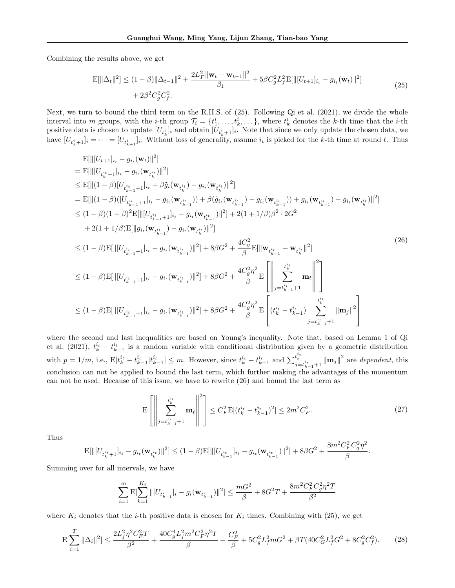Combining the results above, we get

$$
\mathbf{E}[\|\Delta_t\|^2] \le (1-\beta)\|\Delta_{t-1}\|^2 + \frac{2L_F^2\|\mathbf{w}_t - \mathbf{w}_{t-1}\|^2}{\beta_1} + 5\beta C_g^2 L_f^2 \mathbf{E}[\|[U_{t+1}]_{i_t} - g_{i_t}(\mathbf{w}_t)\|^2] + 2\beta^2 C_g^2 C_f^2.
$$
\n(25)

Next, we turn to bound the third term on the R.H.S. of (25). Following Qi et al. (2021), we divide the whole interval into m groups, with the *i*-th group  $\mathcal{T}_i = \{t_1^i, \ldots, t_k^i, \ldots\}$ , where  $t_k^i$  denotes the *k*-th time that the *i*-th positive data is chosen to update  $[U_{t_k^i}]_i$  and obtain  $[U_{t_k^i+1}]_i$ . Note that since we only update the chosen data, we have  $[U_{t_k^i+1}]_i = \cdots = [U_{t_{k+1}^i}]_i$ . Without loss of generality, assume  $i_t$  is picked for the k-th time at round t. Thus

$$
\mathbf{E}[\| [U_{t+1}]_{i_{t}} - g_{i_{t}}(\mathbf{w}_{t}) \|^{2}]
$$
\n
$$
= \mathbf{E}[\| [U_{t_{k+1}^{i_{t}}}]_{i_{t}} - g_{i_{t}}(\mathbf{w}_{t_{k}^{i_{t}}}) \|^{2}]
$$
\n
$$
\leq \mathbf{E}[\| (1-\beta) [U_{t_{k-1}^{i_{t}}+1}]_{i_{t}} + \beta \tilde{g}_{i}(\mathbf{w}_{t_{k}^{i_{t}}}) - g_{i_{t}}(\mathbf{w}_{t_{k-1}^{i_{t}}}) - g_{i_{t}}(\mathbf{w}_{t_{k-1}^{i_{t}}})] + g_{i_{t}}(\mathbf{w}_{t_{k-1}^{i_{t}}}) - g_{i_{t}}(\mathbf{w}_{t_{k-1}^{i_{t}}}) \Big] \leq \mathbf{E}[\| (1-\beta) ([U_{t_{k-1}^{i_{t}}+1}]_{i_{t}} - g_{i_{t}}(\mathbf{w}_{t_{k-1}^{i_{t}}})) + \beta (\tilde{g}_{i_{t}}(\mathbf{w}_{t_{k-1}^{i_{t}}}) - g_{i_{t}}(\mathbf{w}_{t_{k-1}^{i_{t}}})) + g_{i_{t}}(\mathbf{w}_{t_{k-1}^{i_{t}}}) - g_{i_{t}}(\mathbf{w}_{t_{k}^{i_{t}}}) \|^{2}]
$$
\n
$$
\leq (1+\beta) (1-\beta)^{2} \mathbf{E}[\| [g_{i_{t}}(\mathbf{w}_{t_{k-1}^{i_{t}}}) - g_{i_{t}}(\mathbf{w}_{t_{k}^{i_{t}}}) \|^{2}]
$$
\n
$$
\leq (1-\beta) \mathbf{E}[\| [U_{t_{k-1}^{i_{t}}+1}]_{i_{t}} - g_{i_{t}}(\mathbf{w}_{t_{k-1}^{i_{t}}}) \|^{2}] + 8\beta G^{2} + \frac{4C_{g}^{2}}{\beta} \mathbf{E}[\| \mathbf{w}_{t_{k-1}^{i_{t}}^{i_{t}}} - \mathbf{w}_{t_{k}^{i_{t}}} \|^{2}]
$$
\n
$$
\leq (1-\beta) \mathbf{E}[\| [U_{t_{k-1}^{i_{t}}+1}]_{i_{t}} - g_{i_{t}}(\mathbf{w}_{t_{k-1}^{i_{
$$

where the second and last inequalities are based on Young's inequality. Note that, based on Lemma 1 of Qi et al. (2021),  $t_k^{i_t} - t_{k-1}^{i_t}$  is a random variable with conditional distribution given by a geometric distribution  $k-1$ with  $p = 1/m$ , i.e.,  $E[t_k^{i_t} - t_{k-1}^{i_t} | t_{k-1}^{i_t}] \leq m$ . However, since  $t_k^{i_t} - t_{k-1}^{i_t}$  and  $\sum_{j=t_{k-1}^{i_t}+1}^{t_{k}^{i_t}} ||\mathbf{m}_j||^2$  are *dependent*, this conclusion can not be applied to bound the last term, which further making the advantages of the momentum can not be used. Because of this issue, we have to rewrite (26) and bound the last term as

$$
\mathcal{E}\left[\left\|\sum_{j=t_{k-1}^{i_t}+1}^{t_k^{i_t}} \mathbf{m}_t\right\|^2\right] \le C_F^2 \mathcal{E}[(t_k^{i_t} - t_{k-1}^{i_t})^2] \le 2m^2 C_F^2. \tag{27}
$$

.

Thus

$$
\mathbf{E}[\| [U_{t_k^{i_t}+1}]_{i_t} - g_{i_t}(\mathbf{w}_{t_k^{i_t}})\|^2] \leq (1-\beta)\mathbf{E}[\| [U_{t_{k-1}^{i_t}}]_{i_t} - g_{i_t}(\mathbf{w}_{t_{k-1}^{i_t}})\|^2] + 8\beta G^2 + \frac{8m^2C_F^2C_g^2\eta^2}{\beta}
$$

Summing over for all intervals, we have

$$
\sum_{i=1}^m\mathrm{E}[\sum_{k=1}^{K_i}\|[U_{t_{k-1}^i}]_i-g_i(\mathbf{w}_{t_{k-1}^i})\|^2]\leq \frac{mG^2}{\beta}+8G^2T+\frac{8m^2C^2_FC^2_g\eta^2T}{\beta^2}
$$

where  $K_i$  denotes that the *i*-th positive data is chosen for  $K_i$  times. Combining with (25), we get

$$
\mathcal{E}[\sum_{i=1}^{T} ||\Delta_i||^2] \le \frac{2L_f^2 \eta^2 C_F^2 T}{\beta^2} + \frac{40C_g^4 L_f^2 m^2 C_F^2 \eta^2 T}{\beta} + \frac{C_F^2}{\beta} + 5C_g^2 L_f^2 m G^2 + \beta T (40C_G^2 L_f^2 G^2 + 8C_g^2 C_f^2). \tag{28}
$$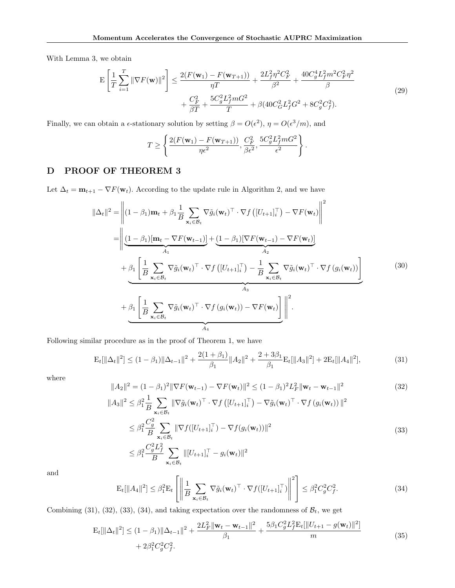With Lemma 3, we obtain

$$
\mathbf{E}\left[\frac{1}{T}\sum_{i=1}^{T} \|\nabla F(\mathbf{w})\|^2\right] \le \frac{2(F(\mathbf{w}_1) - F(\mathbf{w}_{T+1}))}{\eta T} + \frac{2L_f^2 \eta^2 C_F^2}{\beta^2} + \frac{40C_g^4 L_f^2 m^2 C_F^2 \eta^2}{\beta} + \frac{C_F^2}{\beta T} + \frac{5C_g^2 L_f^2 m G^2}{T} + \beta(40C_G^2 L_f^2 G^2 + 8C_g^2 C_f^2).
$$
\n(29)

Finally, we can obtain a  $\epsilon$ -stationary solution by setting  $\beta = O(\epsilon^2)$ ,  $\eta = O(\epsilon^3/m)$ , and

$$
T \ge \left\{ \frac{2(F(\mathbf{w}_1) - F(\mathbf{w}_{T+1}))}{\eta \epsilon^2}, \frac{C_F^2}{\beta \epsilon^2}, \frac{5C_g^2 L_f^2 m G^2}{\epsilon^2} \right\}.
$$

# D PROOF OF THEOREM 3

Let  $\Delta_t = \mathbf{m}_{t+1} - \nabla F(\mathbf{w}_t)$ . According to the update rule in Algorithm 2, and we have

$$
\|\Delta_{t}\|^{2} = \left\| (1 - \beta_{1}) \mathbf{m}_{t} + \beta_{1} \frac{1}{B} \sum_{\mathbf{x}_{i} \in \mathcal{B}_{t}} \nabla \tilde{g}_{i}(\mathbf{w}_{t})^{\top} \cdot \nabla f \left( [U_{t+1}]_{i}^{\top} \right) - \nabla F(\mathbf{w}_{t}) \right\|^{2}
$$

$$
= \left\| \underbrace{(1 - \beta_{1})[\mathbf{m}_{t} - \nabla F(\mathbf{w}_{t-1})]}_{A_{1}} + \underbrace{(1 - \beta_{1})[\nabla F(\mathbf{w}_{t-1}) - \nabla F(\mathbf{w}_{t})]}_{A_{2}} + \underbrace{\beta_{1} \left[ \frac{1}{B} \sum_{\mathbf{x}_{i} \in \mathcal{B}_{t}} \nabla \tilde{g}_{i}(\mathbf{w}_{t})^{\top} \cdot \nabla f \left( [U_{t+1}]_{i}^{\top} \right) - \frac{1}{B} \sum_{\mathbf{x}_{i} \in \mathcal{B}_{t}} \nabla \tilde{g}_{i}(\mathbf{w}_{t})^{\top} \cdot \nabla f \left( g_{i}(\mathbf{w}_{t}) \right) \right]}_{A_{3}} \right\|^{2}.
$$
\n
$$
(30)
$$

Following similar procedure as in the proof of Theorem 1, we have

$$
\mathbf{E}_{t}[\|\Delta_{t}\|^{2}] \leq (1 - \beta_{1})\|\Delta_{t-1}\|^{2} + \frac{2(1 + \beta_{1})}{\beta_{1}}\|A_{2}\|^{2} + \frac{2 + 3\beta_{1}}{\beta_{1}}\mathbf{E}_{t}[\|A_{3}\|^{2}] + 2\mathbf{E}_{t}[\|A_{4}\|^{2}], \tag{31}
$$

where

$$
||A_2||^2 = (1 - \beta_1)^2 ||\nabla F(\mathbf{w}_{t-1}) - \nabla F(\mathbf{w}_t)||^2 \le (1 - \beta_1)^2 L_F^2 ||\mathbf{w}_t - \mathbf{w}_{t-1}||^2
$$
(32)

$$
||A_3||^2 \leq \beta_1^2 \frac{1}{B} \sum_{\mathbf{x}_i \in \mathcal{B}_t} ||\nabla \tilde{g}_i(\mathbf{w}_t)^\top \cdot \nabla f ( [U_{t+1}]_i^\top ) - \nabla \tilde{g}_i(\mathbf{w}_t)^\top \cdot \nabla f ( g_i(\mathbf{w}_t) ) ||^2
$$
  
\n
$$
\leq \beta_1^2 \frac{C_g^2}{B} \sum_{\mathbf{x}_i \in \mathcal{B}_t} ||\nabla f([U_{t+1}]_i^\top) - \nabla f(g_i(\mathbf{w}_t))||^2
$$
  
\n
$$
\leq \beta_1^2 \frac{C_g^2 L_f^2}{B} \sum_{\mathbf{x}_i \in \mathcal{B}_t} ||[U_{t+1}]_i^\top - g_i(\mathbf{w}_t)||^2
$$
\n(33)

and

$$
\mathbf{E}_{t}[\|A_{4}\|^{2}] \leq \beta_{1}^{2} \mathbf{E}_{t} \left[ \left\| \frac{1}{B} \sum_{\mathbf{x}_{i} \in \mathcal{B}_{t}} \nabla \tilde{g}_{i}(\mathbf{w}_{t})^{\top} \cdot \nabla f([U_{t+1}]_{i}^{\top}) \right\|^{2} \right] \leq \beta_{1}^{2} C_{g}^{2} C_{f}^{2}.
$$
\n(34)

Combining (31), (32), (33), (34), and taking expectation over the randomness of  $B_t$ , we get

$$
\mathbf{E}_{t}[\|\Delta_{t}\|^{2}] \leq (1 - \beta_{1})\|\Delta_{t-1}\|^{2} + \frac{2L_{F}^{2}\|\mathbf{w}_{t} - \mathbf{w}_{t-1}\|^{2}}{\beta_{1}} + \frac{5\beta_{1}C_{g}^{2}L_{f}^{2}\mathbf{E}_{t}[\|U_{t+1} - g(\mathbf{w}_{t})\|^{2}]}{m} + 2\beta_{1}^{2}C_{g}^{2}C_{f}^{2}.
$$
\n(35)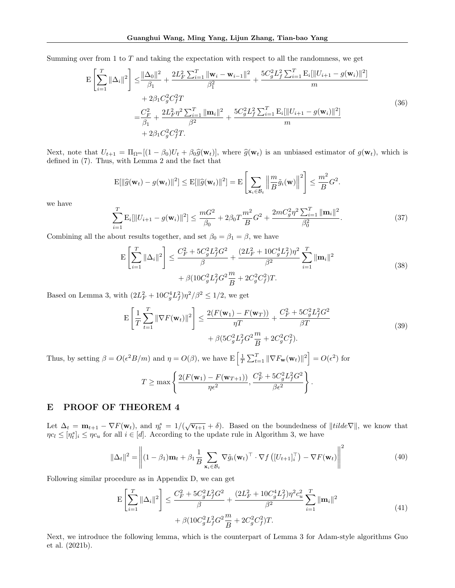Summing over from 1 to T and taking the expectation with respect to all the randomness, we get

$$
\mathbf{E}\left[\sum_{i=1}^{T}||\Delta_{i}||^{2}\right] \leq \frac{||\Delta_{0}||^{2}}{\beta_{1}} + \frac{2L_{F}^{2}\sum_{i=1}^{T}||\mathbf{w}_{i} - \mathbf{w}_{i-1}||^{2}}{\beta_{1}^{2}} + \frac{5C_{g}^{2}L_{f}^{2}\sum_{i=1}^{T}\mathbf{E}_{i}[\|U_{i+1} - g(\mathbf{w}_{i})\|^{2}]}{m} + 2\beta_{1}C_{g}^{2}C_{f}^{2}T
$$
\n
$$
= \frac{C_{F}^{2}}{\beta_{1}} + \frac{2L_{F}^{2}\eta^{2}\sum_{i=1}^{T}||\mathbf{m}_{i}||^{2}}{\beta_{2}^{2}} + \frac{5C_{g}^{2}L_{f}^{2}\sum_{i=1}^{T}\mathbf{E}_{i}[\|U_{i+1} - g(\mathbf{w}_{i})\|^{2}]}{m} + 2\beta_{1}C_{g}^{2}C_{f}^{2}T.
$$
\n(36)

Next, note that  $U_{t+1} = \Pi_{\Omega^m}[(1 - \beta_0)U_t + \beta_0 \hat{g}(\mathbf{w}_t)],$  where  $\hat{g}(\mathbf{w}_t)$  is an unbiased estimator of  $g(\mathbf{w}_t)$ , which is defined in (7). Thus, with Lemma 2 and the fact that

$$
\mathrm{E}[\|\widehat{g}(\mathbf{w}_t) - g(\mathbf{w}_t)\|^2] \le \mathrm{E}[\|\widehat{g}(\mathbf{w}_t)\|^2] = \mathrm{E}\left[\sum_{\mathbf{x}_i \in \mathcal{B}_t} \left\|\frac{m}{B}\tilde{g}_i(\mathbf{w})\right\|^2\right] \le \frac{m^2}{B}G^2.
$$

we have

$$
\sum_{i=1}^{T} \mathbf{E}_{i}[\|U_{i+1} - g(\mathbf{w}_{i})\|^{2}] \leq \frac{mG^{2}}{\beta_{0}} + 2\beta_{0}T\frac{m^{2}}{B}G^{2} + \frac{2mC_{g}^{2}\eta^{2}\sum_{i=1}^{T} \|\mathbf{m}_{i}\|^{2}}{\beta_{0}^{2}}.
$$
\n(37)

Combining all the about results together, and set  $\beta_0 = \beta_1 = \beta$ , we have

$$
\mathcal{E}\left[\sum_{i=1}^{T} \|\Delta_{i}\|^{2}\right] \leq \frac{C_{F}^{2} + 5C_{g}^{2}L_{f}^{2}G^{2}}{\beta} + \frac{(2L_{F}^{2} + 10C_{g}^{4}L_{f}^{2})\eta^{2}}{\beta^{2}}\sum_{i=1}^{T} \|\mathbf{m}_{i}\|^{2} + \beta(10C_{g}^{2}L_{f}^{2}G^{2}\frac{m}{B} + 2C_{g}^{2}C_{f}^{2})T.
$$
\n(38)

Based on Lemma 3, with  $(2L_F^2 + 10C_g^4L_f^2)\eta^2/\beta^2 \leq 1/2$ , we get

$$
\mathbf{E}\left[\frac{1}{T}\sum_{t=1}^{T} \|\nabla F(\mathbf{w}_{t})\|^{2}\right] \leq \frac{2(F(\mathbf{w}_{1}) - F(\mathbf{w}_{T}))}{\eta T} + \frac{C_{F}^{2} + 5C_{g}^{2}L_{f}^{2}G^{2}}{\beta T} + \beta(5C_{g}^{2}L_{f}^{2}G^{2}\frac{m}{B} + 2C_{g}^{2}C_{f}^{2}).
$$
\n(39)

Thus, by setting  $\beta = O(\epsilon^2 B/m)$  and  $\eta = O(\beta)$ , we have  $\mathbb{E}\left[\frac{1}{T}\sum_{t=1}^T ||\nabla F_{\mathbf{w}}(\mathbf{w}_t)||^2\right] = O(\epsilon^2)$  for  $T \ge \max \left\{ \frac{2(F(\mathbf{w}_1) - F(\mathbf{w}_{T+1}))}{n\epsilon^2} \right\}$  $\frac{1}{\eta\epsilon^2}, \frac{(n+1)}{n}$  $C_F^2 + 5C_g^2L_f^2G^2$  $\beta \epsilon^2$ ) .

### E PROOF OF THEOREM 4

Let  $\Delta_t = \mathbf{m}_{t+1} - \nabla F(\mathbf{w}_t)$ , and  $\eta_t^s = 1/(\sqrt{\mathbf{v}_{t+1}} + \delta)$ . Based on the boundedness of  $\Vert t \Vert d e \nabla \Vert$ , we know that  $\eta c_l \leq [\eta_t^s]_i \leq \eta c_u$  for all  $i \in [d]$ . According to the update rule in Algorithm 3, we have

$$
\|\Delta_t\|^2 = \left\|(1-\beta_1)\mathbf{m}_t + \beta_1\frac{1}{B}\sum_{\mathbf{x}_i\in\mathcal{B}_t}\nabla\tilde{g}_i(\mathbf{w}_t)^\top \cdot \nabla f\left([U_{t+1}]_i^\top\right) - \nabla F(\mathbf{w}_t)\right\|^2\tag{40}
$$

Following similar procedure as in Appendix D, we can get

$$
\mathcal{E}\left[\sum_{i=1}^{T} \|\Delta_{i}\|^{2}\right] \leq \frac{C_{F}^{2} + 5C_{g}^{2}L_{f}^{2}G^{2}}{\beta} + \frac{(2L_{F}^{2} + 10C_{g}^{4}L_{f}^{2})\eta^{2}c_{u}^{2}}{\beta^{2}} \sum_{i=1}^{T} \|\mathbf{m}_{i}\|^{2} + \beta(10C_{g}^{2}L_{f}^{2}G^{2}\frac{m}{B} + 2C_{g}^{2}C_{f}^{2})T.
$$
\n(41)

Next, we introduce the following lemma, which is the counterpart of Lemma 3 for Adam-style algorithms Guo et al. (2021b).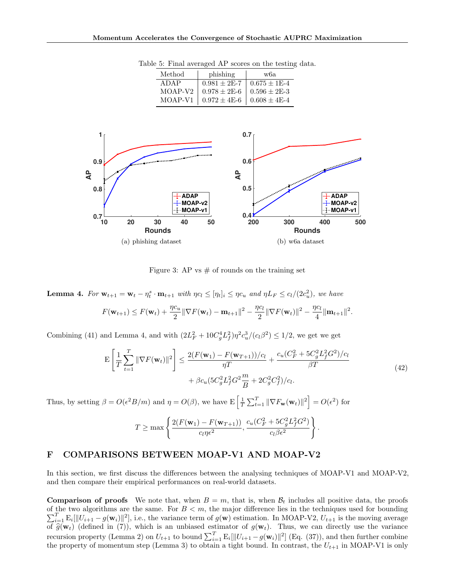| Method              | phishing                            | w6a                |
|---------------------|-------------------------------------|--------------------|
| ADAP                | $0.981 \pm 2E-7$                    | $1.0.675 \pm 1E-4$ |
| MOAP-V <sub>2</sub> | $0.978 \pm 2E - 6$                  | $10.596 \pm 2E-3$  |
| MOAP-V1             | $0.972 \pm 4E-6$   $0.608 \pm 4E-4$ |                    |

Table 5: Final averaged AP scores on the testing data.



Figure 3: AP vs  $\#$  of rounds on the training set

**Lemma 4.** For  $\mathbf{w}_{t+1} = \mathbf{w}_t - \eta_t^s \cdot \mathbf{m}_{t+1}$  with  $\eta c_l \leq [\eta_t]_i \leq \eta c_u$  and  $\eta L_F \leq c_l/(2c_u^2)$ , we have  $F(\mathbf{w}_{t+1}) \leq F(\mathbf{w}_t) + \frac{\eta c_u}{2} ||\nabla F(\mathbf{w}_t) - \mathbf{m}_{t+1}||^2 - \frac{\eta c_l}{2}$  $\frac{\partial c_l}{\partial t} \|\nabla F(\mathbf{w}_t)\|^2 - \frac{\eta c_l}{4}$  $\frac{C_l}{4}$  $\|\mathbf{m}_{t+1}\|^2$ .

Combining (41) and Lemma 4, and with  $(2L_F^2 + 10C_g^4L_f^2)\eta^2c_u^3/(c_l\beta^2) \leq 1/2$ , we get we get

$$
\mathbf{E}\left[\frac{1}{T}\sum_{t=1}^{T} \|\nabla F(\mathbf{w}_{t})\|^{2}\right] \leq \frac{2(F(\mathbf{w}_{1}) - F(\mathbf{w}_{T+1}))/c_{l}}{\eta T} + \frac{c_{u}(C_{F}^{2} + 5C_{g}^{2}L_{f}^{2}G^{2})/c_{l}}{\beta T} + \beta c_{u}(5C_{g}^{2}L_{f}^{2}G^{2}\frac{m}{B} + 2C_{g}^{2}C_{f}^{2})/c_{l}.
$$
\n(42)

Thus, by setting  $\beta = O(\epsilon^2 B/m)$  and  $\eta = O(\beta)$ , we have  $\mathbb{E}\left[\frac{1}{T}\sum_{t=1}^T \|\nabla F_{\mathbf{w}}(\mathbf{w}_t)\|^2\right] = O(\epsilon^2)$  for

$$
T \geq \max \left\{ \frac{2(F(\mathbf{w}_1) - F(\mathbf{w}_{T+1}))}{c_l \eta \epsilon^2}, \frac{c_u(C_F^2 + 5C_g^2 L_f^2 G^2)}{c_l \beta \epsilon^2} \right\}.
$$

## F COMPARISONS BETWEEN MOAP-V1 AND MOAP-V2

In this section, we first discuss the differences between the analysing techniques of MOAP-V1 and MOAP-V2, and then compare their empirical performances on real-world datasets.

**Comparison of proofs** We note that, when  $B = m$ , that is, when  $B_t$  includes all positive data, the proofs of the two algorithms are the same. For  $B < m$ , the major difference lies in the techniques used for bounding  $\sum_{i=1}^T \mathbb{E}_i[||U_{i+1} - g(\mathbf{w}_i)||^2]$ , i.e., the variance term of  $g(\mathbf{w})$  estimation. In MOAP-V2,  $U_{t+1}$  is the moving average of  $\widehat{g}(\mathbf{w}_t)$  (defined in (7)), which is an unbiased estimator of  $g(\mathbf{w}_t)$ . Thus, we can directly use the variance recursion property (Lemma 2) on  $U_{t+1}$  to bound  $\sum_{i=1}^{T} \mathbb{E}_i[\|U_{i+1} - g(\mathbf{w}_i)\|^2]$  (Eq. (37)), and then further combine the property of momentum step (Lemma 3) to obtain a tight bound. In contrast, the  $U_{t+1}$  in MOAP-V1 is only